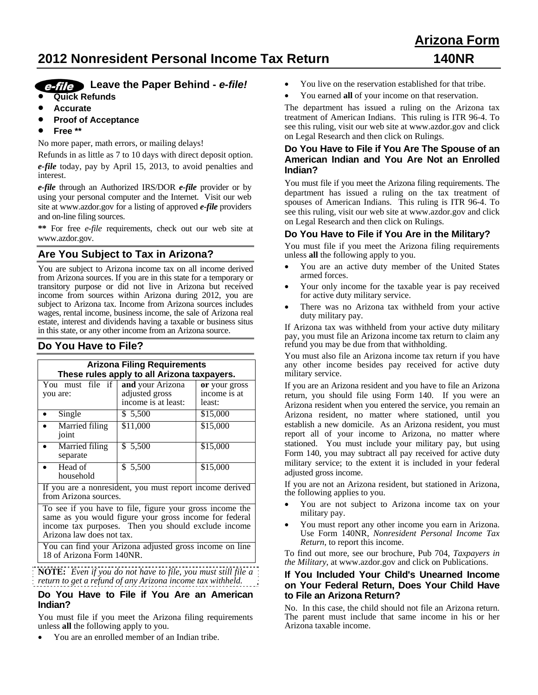# **2012 Nonresident Personal Income Tax Return 140NR**

# **Arizona Form**

# **Leave the Paper Behind -** *e-file!*

- **Quick Refunds**
- **Accurate**
- **Proof of Acceptance**
- **Free \*\***

No more paper, math errors, or mailing delays!

Refunds in as little as 7 to 10 days with direct deposit option. *e-file* today, pay by April 15, 2013, to avoid penalties and interest.

*e-file* through an Authorized IRS/DOR *e-file* provider or by using your personal computer and the Internet. Visit our web site at www.azdor.gov for a listing of approved *e-file* providers and on-line filing sources.

**\*\*** For free *e-file* requirements, check out our web site at www.azdor.gov.

# **Are You Subject to Tax in Arizona?**

You are subject to Arizona income tax on all income derived from Arizona sources. If you are in this state for a temporary or transitory purpose or did not live in Arizona but received income from sources within Arizona during 2012, you are subject to Arizona tax. Income from Arizona sources includes wages, rental income, business income, the sale of Arizona real estate, interest and dividends having a taxable or business situs in this state, or any other income from an Arizona source.

# **Do You Have to File?**

| <b>Arizona Filing Requirements</b><br>These rules apply to all Arizona taxpayers.                                                                                                                      |                                       |                                         |  |
|--------------------------------------------------------------------------------------------------------------------------------------------------------------------------------------------------------|---------------------------------------|-----------------------------------------|--|
| You must file if and your Arizona<br>you are:                                                                                                                                                          | adjusted gross<br>income is at least: | or your gross<br>income is at<br>least: |  |
| Single                                                                                                                                                                                                 | \$ 5,500                              | \$15,000                                |  |
| Married filing<br>joint                                                                                                                                                                                | \$11,000                              | \$15,000                                |  |
| Married filing<br>separate                                                                                                                                                                             | \$5,500                               | \$15,000                                |  |
| Head of<br>household                                                                                                                                                                                   | \$ 5,500                              | \$15,000                                |  |
| If you are a nonresident, you must report income derived<br>from Arizona sources.                                                                                                                      |                                       |                                         |  |
| To see if you have to file, figure your gross income the<br>same as you would figure your gross income for federal<br>income tax purposes. Then you should exclude income<br>Arizona law does not tax. |                                       |                                         |  |
| You can find your Arizona adjusted gross income on line<br>18 of Arizona Form 140NR.                                                                                                                   |                                       |                                         |  |

**NOTE:** *Even if you do not have to file, you must still file a return to get a refund of any Arizona income tax withheld.*

## **Do You Have to File if You Are an American Indian?**

You must file if you meet the Arizona filing requirements unless **all** the following apply to you.

You are an enrolled member of an Indian tribe.

- You live on the reservation established for that tribe.
- You earned **all** of your income on that reservation.

The department has issued a ruling on the Arizona tax treatment of American Indians. This ruling is ITR 96-4. To see this ruling, visit our web site at www.azdor.gov and click on Legal Research and then click on Rulings.

#### **Do You Have to File if You Are The Spouse of an American Indian and You Are Not an Enrolled Indian?**

You must file if you meet the Arizona filing requirements. The department has issued a ruling on the tax treatment of spouses of American Indians. This ruling is ITR 96-4. To see this ruling, visit our web site at www.azdor.gov and click on Legal Research and then click on Rulings.

## **Do You Have to File if You Are in the Military?**

You must file if you meet the Arizona filing requirements unless **all** the following apply to you.

- You are an active duty member of the United States armed forces.
- Your only income for the taxable year is pay received for active duty military service.
- There was no Arizona tax withheld from your active duty military pay.

If Arizona tax was withheld from your active duty military pay, you must file an Arizona income tax return to claim any refund you may be due from that withholding.

You must also file an Arizona income tax return if you have any other income besides pay received for active duty military service.

If you are an Arizona resident and you have to file an Arizona return, you should file using Form 140. If you were an Arizona resident when you entered the service, you remain an Arizona resident, no matter where stationed, until you establish a new domicile. As an Arizona resident, you must report all of your income to Arizona, no matter where stationed. You must include your military pay, but using Form 140, you may subtract all pay received for active duty military service; to the extent it is included in your federal adjusted gross income.

If you are not an Arizona resident, but stationed in Arizona, the following applies to you.

- You are not subject to Arizona income tax on your military pay.
- You must report any other income you earn in Arizona. Use Form 140NR, *Nonresident Personal Income Tax Return*, to report this income.

To find out more, see our brochure, Pub 704, *Taxpayers in the Military*, at www.azdor.gov and click on Publications.

#### **If You Included Your Child's Unearned Income on Your Federal Return, Does Your Child Have to File an Arizona Return?**

No. In this case, the child should not file an Arizona return. The parent must include that same income in his or her Arizona taxable income.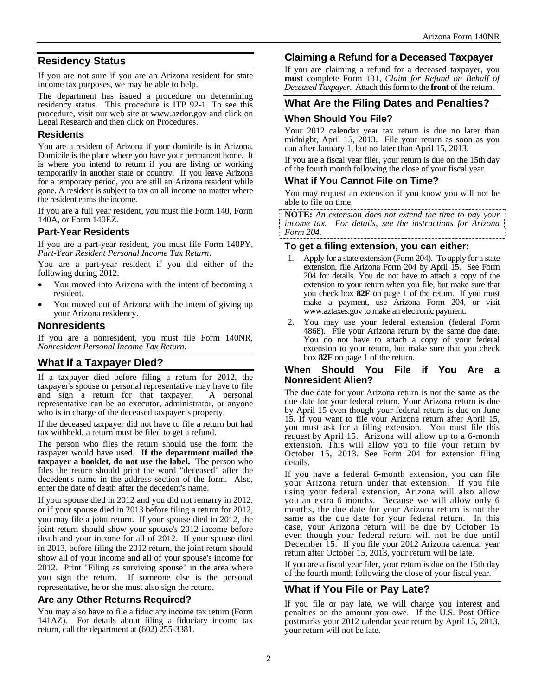# **Residency Status**

If you are not sure if you are an Arizona resident for state income tax purposes, we may be able to help.

The department has issued a procedure on determining residency status. This procedure is ITP 92-1. To see this procedure, visit our web site at www.azdor.gov and click on Legal Research and then click on Procedures.

## **Residents**

You are a resident of Arizona if your domicile is in Arizona. Domicile is the place where you have your permanent home. It is where you intend to return if you are living or working temporarily in another state or country. If you leave Arizona for a temporary period, you are still an Arizona resident while gone. A resident is subject to tax on all income no matter where the resident earns the income.

If you are a full year resident, you must file Form 140, Form 140A, or Form 140EZ.

# **Part-Year Residents**

If you are a part-year resident, you must file Form 140PY, *Part-Year Resident Personal Income Tax Return*.

You are a part-year resident if you did either of the following during 2012.

- You moved into Arizona with the intent of becoming a resident.
- You moved out of Arizona with the intent of giving up your Arizona residency.

# **Nonresidents**

If you are a nonresident, you must file Form 140NR, *Nonresident Personal Income Tax Return.*

# **What if a Taxpayer Died?**

If a taxpayer died before filing a return for 2012, the taxpayer's spouse or personal representative may have to file and sign a return for that taxpayer. A personal representative can be an executor, administrator, or anyone who is in charge of the deceased taxpayer's property.

If the deceased taxpayer did not have to file a return but had tax withheld, a return must be filed to get a refund.

The person who files the return should use the form the taxpayer would have used. **If the department mailed the taxpayer a booklet, do not use the label.** The person who files the return should print the word "deceased" after the decedent's name in the address section of the form. Also, enter the date of death after the decedent's name.

If your spouse died in 2012 and you did not remarry in 2012, or if your spouse died in 2013 before filing a return for 2012, you may file a joint return. If your spouse died in 2012, the joint return should show your spouse's 2012 income before death and your income for all of 2012. If your spouse died in 2013, before filing the 2012 return, the joint return should show all of your income and all of your spouse's income for 2012. Print "Filing as surviving spouse" in the area where you sign the return. If someone else is the personal representative, he or she must also sign the return.

# **Are any Other Returns Required?**

You may also have to file a fiduciary income tax return (Form 141AZ). For details about filing a fiduciary income tax return, call the department at (602) 255-3381.

# **Claiming a Refund for a Deceased Taxpayer**

If you are claiming a refund for a deceased taxpayer, you **must** complete Form 131, *Claim for Refund on Behalf of Deceased Taxpayer*. Attach this form to the **front** of the return.

# **What Are the Filing Dates and Penalties?**

## **When Should You File?**

Your 2012 calendar year tax return is due no later than midnight, April 15, 2013. File your return as soon as you can after January 1, but no later than April 15, 2013.

If you are a fiscal year filer, your return is due on the 15th day of the fourth month following the close of your fiscal year.

## **What if You Cannot File on Time?**

You may request an extension if you know you will not be able to file on time.

**NOTE:** *An extension does not extend the time to pay your income tax. For details, see the instructions for Arizona Form 204.* 

## **To get a filing extension, you can either:**

- 1. Apply for a state extension (Form 204). To apply for a state extension, file Arizona Form 204 by April 15. See Form 204 for details. You do not have to attach a copy of the extension to your return when you file, but make sure that you check box **82F** on page 1 of the return. If you must make a payment, use Arizona Form 204*,* or visit www.aztaxes.gov to make an electronic payment.
- 2. You may use your federal extension (federal Form 4868). File your Arizona return by the same due date. You do not have to attach a copy of your federal extension to your return, but make sure that you check box **82F** on page 1 of the return.

#### **When Should You File if You Are a Nonresident Alien?**

The due date for your Arizona return is not the same as the due date for your federal return. Your Arizona return is due by April 15 even though your federal return is due on June 15. If you want to file your Arizona return after April 15, you must ask for a filing extension. You must file this request by April 15. Arizona will allow up to a 6-month extension. This will allow you to file your return by October 15, 2013. See Form 204 for extension filing details.

If you have a federal 6-month extension, you can file your Arizona return under that extension. If you file using your federal extension, Arizona will also allow you an extra 6 months. Because we will allow only 6 months, the due date for your Arizona return is not the same as the due date for your federal return. In this case, your Arizona return will be due by October 15 even though your federal return will not be due until December 15. If you file your 2012 Arizona calendar year return after October 15, 2013, your return will be late.

If you are a fiscal year filer, your return is due on the 15th day of the fourth month following the close of your fiscal year.

# **What if You File or Pay Late?**

If you file or pay late, we will charge you interest and penalties on the amount you owe. If the U.S. Post Office postmarks your 2012 calendar year return by April 15, 2013, your return will not be late.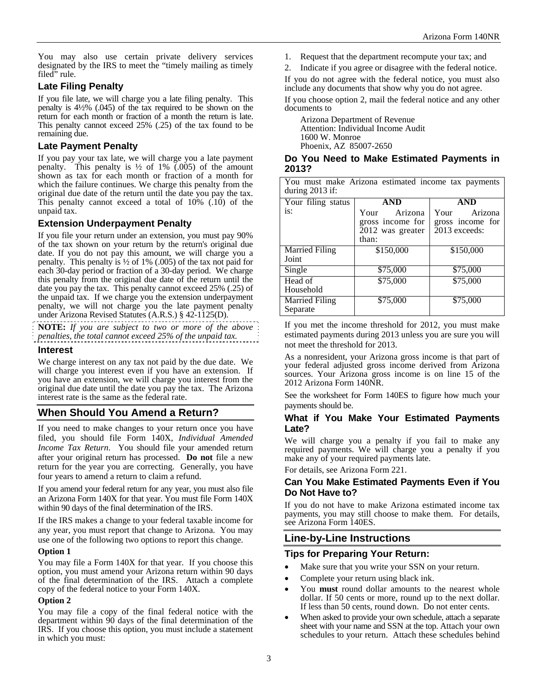You may also use certain private delivery services designated by the IRS to meet the "timely mailing as timely filed" rule.

# **Late Filing Penalty**

If you file late, we will charge you a late filing penalty. This penalty is 4½% (.045) of the tax required to be shown on the return for each month or fraction of a month the return is late. This penalty cannot exceed 25% (.25) of the tax found to be remaining due.

## **Late Payment Penalty**

If you pay your tax late, we will charge you a late payment penalty. This penalty is  $\frac{1}{2}$  of 1% (.005) of the amount shown as tax for each month or fraction of a month for which the failure continues. We charge this penalty from the original due date of the return until the date you pay the tax. This penalty cannot exceed a total of  $10\%$   $(.10)$  of the unpaid tax.

## **Extension Underpayment Penalty**

If you file your return under an extension, you must pay 90% of the tax shown on your return by the return's original due date. If you do not pay this amount, we will charge you a penalty. This penalty is ½ of 1% (.005) of the tax not paid for each 30-day period or fraction of a 30-day period. We charge this penalty from the original due date of the return until the date you pay the tax. This penalty cannot exceed 25% (.25) of the unpaid tax. If we charge you the extension underpayment penalty, we will not charge you the late payment penalty under Arizona Revised Statutes (A.R.S.) § 42-1125(D).

**NOTE:** *If you are subject to two or more of the above penalties, the total cannot exceed 25% of the unpaid tax.* 

#### **Interest**

We charge interest on any tax not paid by the due date. We will charge you interest even if you have an extension. If you have an extension, we will charge you interest from the original due date until the date you pay the tax. The Arizona interest rate is the same as the federal rate.

# **When Should You Amend a Return?**

If you need to make changes to your return once you have filed, you should file Form 140X, *Individual Amended Income Tax Return*. You should file your amended return after your original return has processed. **Do not** file a new return for the year you are correcting. Generally, you have four years to amend a return to claim a refund.

If you amend your federal return for any year, you must also file an Arizona Form 140X for that year. You must file Form 140X within 90 days of the final determination of the IRS.

If the IRS makes a change to your federal taxable income for any year, you must report that change to Arizona. You may use one of the following two options to report this change.

#### **Option 1**

You may file a Form 140X for that year. If you choose this option, you must amend your Arizona return within 90 days of the final determination of the IRS. Attach a complete copy of the federal notice to your Form 140X.

#### **Option 2**

You may file a copy of the final federal notice with the department within 90 days of the final determination of the IRS. If you choose this option, you must include a statement in which you must:

1. Request that the department recompute your tax; and

2. Indicate if you agree or disagree with the federal notice. If you do not agree with the federal notice, you must also include any documents that show why you do not agree.

If you choose option 2, mail the federal notice and any other documents to

Arizona Department of Revenue Attention: Individual Income Audit 1600 W. Monroe Phoenix, AZ 85007-2650

#### **Do You Need to Make Estimated Payments in 2013?**

|                   |  |  | You must make Arizona estimated income tax payments |
|-------------------|--|--|-----------------------------------------------------|
| during $2013$ if: |  |  |                                                     |

| Your filing status    | AND              | AND              |
|-----------------------|------------------|------------------|
| is:                   | Arizona<br>Your  | Arizona<br>Your  |
|                       | gross income for | gross income for |
|                       | 2012 was greater | 2013 exceeds:    |
|                       | than:            |                  |
| <b>Married Filing</b> | \$150,000        | \$150,000        |
| Joint                 |                  |                  |
| Single                | \$75,000         | \$75,000         |
| Head of               | \$75,000         | \$75,000         |
| Household             |                  |                  |
| <b>Married Filing</b> | \$75,000         | \$75,000         |
| Separate              |                  |                  |

If you met the income threshold for 2012, you must make estimated payments during 2013 unless you are sure you will not meet the threshold for 2013.

As a nonresident, your Arizona gross income is that part of your federal adjusted gross income derived from Arizona sources. Your Arizona gross income is on line 15 of the 2012 Arizona Form 140NR.

See the worksheet for Form 140ES to figure how much your payments should be.

## **What if You Make Your Estimated Payments Late?**

We will charge you a penalty if you fail to make any required payments. We will charge you a penalty if you make any of your required payments late.

For details, see Arizona Form 221.

## **Can You Make Estimated Payments Even if You Do Not Have to?**

If you do not have to make Arizona estimated income tax payments, you may still choose to make them. For details, see Arizona Form 140ES.

# **Line-by-Line Instructions**

# **Tips for Preparing Your Return:**

- Make sure that you write your SSN on your return.
- Complete your return using black ink.
- You **must** round dollar amounts to the nearest whole dollar. If 50 cents or more, round up to the next dollar. If less than 50 cents, round down. Do not enter cents.
- When asked to provide your own schedule, attach a separate sheet with your name and SSN at the top. Attach your own schedules to your return. Attach these schedules behind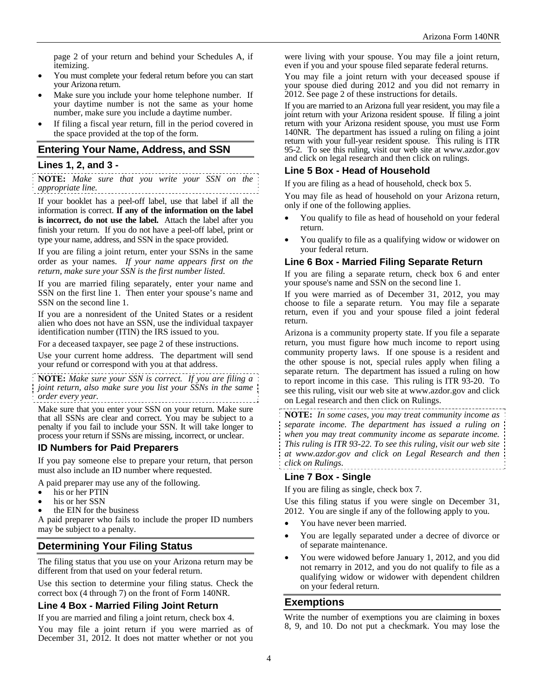page 2 of your return and behind your Schedules A, if itemizing.

- You must complete your federal return before you can start your Arizona return.
- Make sure you include your home telephone number. If your daytime number is not the same as your home number, make sure you include a daytime number.
- If filing a fiscal year return, fill in the period covered in the space provided at the top of the form.

#### **Entering Your Name, Address, and SSN**

#### **Lines 1, 2, and 3 -**

**NOTE:** *Make sure that you write your SSN on the appropriate line.*

If your booklet has a peel-off label, use that label if all the information is correct. **If any of the information on the label is incorrect, do not use the label.** Attach the label after you finish your return. If you do not have a peel-off label, print or type your name, address, and SSN in the space provided.

If you are filing a joint return, enter your SSNs in the same order as your names. *If your name appears first on the return, make sure your SSN is the first number listed*.

If you are married filing separately, enter your name and SSN on the first line 1. Then enter your spouse's name and SSN on the second line 1.

If you are a nonresident of the United States or a resident alien who does not have an SSN, use the individual taxpayer identification number (ITIN) the IRS issued to you.

For a deceased taxpayer, see page 2 of these instructions.

Use your current home address. The department will send your refund or correspond with you at that address.

**NOTE:** *Make sure your SSN is correct. If you are filing a joint return, also make sure you list your SSNs in the same order every year.* 

Make sure that you enter your SSN on your return. Make sure that all SSNs are clear and correct. You may be subject to a penalty if you fail to include your SSN. It will take longer to process your return if SSNs are missing, incorrect, or unclear.

#### **ID Numbers for Paid Preparers**

If you pay someone else to prepare your return, that person must also include an ID number where requested.

A paid preparer may use any of the following.

- his or her PTIN<br>his or her SSN
- 
- the EIN for the business

A paid preparer who fails to include the proper ID numbers may be subject to a penalty.

# **Determining Your Filing Status**

The filing status that you use on your Arizona return may be different from that used on your federal return.

Use this section to determine your filing status. Check the correct box (4 through 7) on the front of Form 140NR.

#### **Line 4 Box - Married Filing Joint Return**

If you are married and filing a joint return, check box 4.

You may file a joint return if you were married as of December 31, 2012. It does not matter whether or not you were living with your spouse. You may file a joint return, even if you and your spouse filed separate federal returns.

You may file a joint return with your deceased spouse if your spouse died during 2012 and you did not remarry in 2012. See page 2 of these instructions for details.

If you are married to an Arizona full year resident, you may file a joint return with your Arizona resident spouse. If filing a joint return with your Arizona resident spouse, you must use Form 140NR. The department has issued a ruling on filing a joint return with your full-year resident spouse. This ruling is ITR 95-2. To see this ruling, visit our web site at www.azdor.gov and click on legal research and then click on rulings.

#### **Line 5 Box - Head of Household**

If you are filing as a head of household, check box 5.

You may file as head of household on your Arizona return, only if one of the following applies.

- You qualify to file as head of household on your federal return.
- You qualify to file as a qualifying widow or widower on your federal return.

#### **Line 6 Box - Married Filing Separate Return**

If you are filing a separate return, check box 6 and enter your spouse's name and SSN on the second line 1.

If you were married as of December 31, 2012, you may choose to file a separate return. You may file a separate return, even if you and your spouse filed a joint federal return.

Arizona is a community property state. If you file a separate return, you must figure how much income to report using community property laws. If one spouse is a resident and the other spouse is not, special rules apply when filing a separate return. The department has issued a ruling on how to report income in this case. This ruling is ITR 93-20. To see this ruling, visit our web site at www.azdor.gov and click on Legal research and then click on Rulings.

**NOTE:** *In some cases, you may treat community income as separate income. The department has issued a ruling on when you may treat community income as separate income. This ruling is ITR 93-22. To see this ruling, visit our web site at www.azdor.gov and click on Legal Research and then click on Rulings*.

## **Line 7 Box - Single**

If you are filing as single, check box 7.

Use this filing status if you were single on December 31, 2012. You are single if any of the following apply to you.

- You have never been married.
- You are legally separated under a decree of divorce or of separate maintenance.
- You were widowed before January 1, 2012, and you did not remarry in 2012, and you do not qualify to file as a qualifying widow or widower with dependent children on your federal return.

## **Exemptions**

Write the number of exemptions you are claiming in boxes 8, 9, and 10. Do not put a checkmark. You may lose the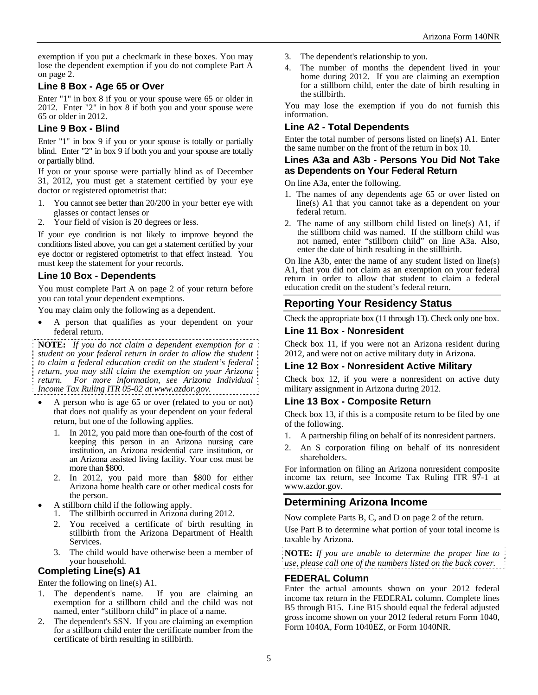exemption if you put a checkmark in these boxes. You may lose the dependent exemption if you do not complete Part A on page 2.

## **Line 8 Box - Age 65 or Over**

Enter "1" in box 8 if you or your spouse were 65 or older in 2012. Enter "2" in box 8 if both you and your spouse were 65 or older in 2012.

## **Line 9 Box - Blind**

Enter "1" in box 9 if you or your spouse is totally or partially blind. Enter "2" in box 9 if both you and your spouse are totally or partially blind.

If you or your spouse were partially blind as of December 31, 2012, you must get a statement certified by your eye doctor or registered optometrist that:

- 1. You cannot see better than 20/200 in your better eye with glasses or contact lenses or
- 2. Your field of vision is 20 degrees or less.

If your eye condition is not likely to improve beyond the conditions listed above, you can get a statement certified by your eye doctor or registered optometrist to that effect instead. You must keep the statement for your records.

# **Line 10 Box - Dependents**

You must complete Part A on page 2 of your return before you can total your dependent exemptions.

You may claim only the following as a dependent.

 A person that qualifies as your dependent on your federal return.

**NOTE:** *If you do not claim a dependent exemption for a student on your federal return in order to allow the student to claim a federal education credit on the student's federal return, you may still claim the exemption on your Arizona return. For more information, see Arizona Individual Income Tax Ruling ITR 05-02 at www.azdor.gov.*

 A person who is age 65 or over (related to you or not) that does not qualify as your dependent on your federal return, but one of the following applies.

- 1. In 2012, you paid more than one-fourth of the cost of keeping this person in an Arizona nursing care institution, an Arizona residential care institution, or an Arizona assisted living facility. Your cost must be more than \$800.
- 2. In 2012, you paid more than \$800 for either Arizona home health care or other medical costs for the person.
- A stillborn child if the following apply.
- 1. The stillbirth occurred in Arizona during 2012.
	- 2. You received a certificate of birth resulting in stillbirth from the Arizona Department of Health Services.
	- 3. The child would have otherwise been a member of your household.

# **Completing Line(s) A1**

Enter the following on line(s) A1.

- 1. The dependent's name. If you are claiming an exemption for a stillborn child and the child was not named, enter "stillborn child" in place of a name.
- 2. The dependent's SSN. If you are claiming an exemption for a stillborn child enter the certificate number from the certificate of birth resulting in stillbirth.
- 3. The dependent's relationship to you.
- 4. The number of months the dependent lived in your home during 2012. If you are claiming an exemption for a stillborn child, enter the date of birth resulting in the stillbirth.

You may lose the exemption if you do not furnish this information.

## **Line A2 - Total Dependents**

Enter the total number of persons listed on line(s) A1. Enter the same number on the front of the return in box 10.

#### **Lines A3a and A3b - Persons You Did Not Take as Dependents on Your Federal Return**

On line A3a, enter the following.

- 1. The names of any dependents age 65 or over listed on line(s) A1 that you cannot take as a dependent on your federal return.
- 2. The name of any stillborn child listed on line(s) A1, if the stillborn child was named. If the stillborn child was not named, enter "stillborn child" on line A3a. Also, enter the date of birth resulting in the stillbirth.

On line A3b, enter the name of any student listed on line(s) A1, that you did not claim as an exemption on your federal return in order to allow that student to claim a federal education credit on the student's federal return.

# **Reporting Your Residency Status**

Check the appropriate box (11 through 13). Check only one box.

## **Line 11 Box - Nonresident**

Check box 11, if you were not an Arizona resident during 2012, and were not on active military duty in Arizona.

# **Line 12 Box - Nonresident Active Military**

Check box 12, if you were a nonresident on active duty military assignment in Arizona during 2012.

## **Line 13 Box - Composite Return**

Check box 13, if this is a composite return to be filed by one of the following.

- 1. A partnership filing on behalf of its nonresident partners.
- 2. An S corporation filing on behalf of its nonresident shareholders.

For information on filing an Arizona nonresident composite income tax return, see Income Tax Ruling ITR 97-1 at www.azdor.gov.

# **Determining Arizona Income**

Now complete Parts B, C, and D on page 2 of the return.

Use Part B to determine what portion of your total income is taxable by Arizona.

**NOTE:** *If you are unable to determine the proper line to use, please call one of the numbers listed on the back cover.* 

## **FEDERAL Column**

Enter the actual amounts shown on your 2012 federal income tax return in the FEDERAL column. Complete lines B5 through B15. Line B15 should equal the federal adjusted gross income shown on your 2012 federal return Form 1040, Form 1040A, Form 1040EZ, or Form 1040NR.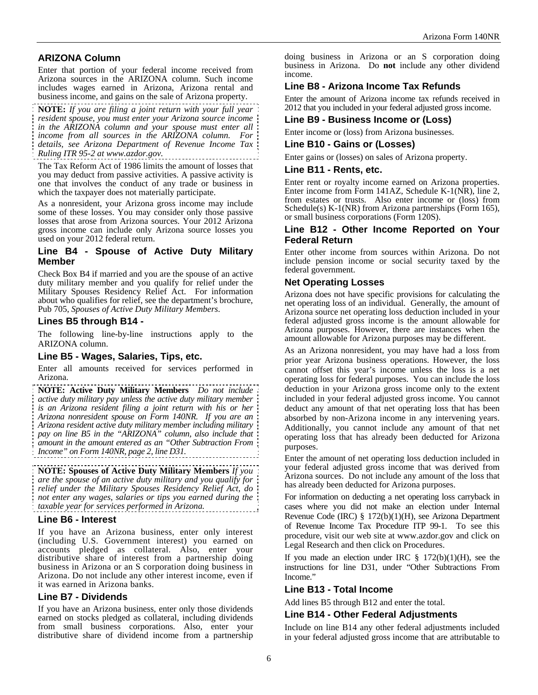# **ARIZONA Column**

Enter that portion of your federal income received from Arizona sources in the ARIZONA column. Such income includes wages earned in Arizona, Arizona rental and business income, and gains on the sale of Arizona property.

**NOTE:** *If you are filing a joint return with your full year resident spouse, you must enter your Arizona source income in the ARIZONA column and your spouse must enter all income from all sources in the ARIZONA column. For details, see Arizona Department of Revenue Income Tax Ruling ITR 95-2 at www.azdor.gov.*

The Tax Reform Act of 1986 limits the amount of losses that you may deduct from passive activities. A passive activity is one that involves the conduct of any trade or business in which the taxpayer does not materially participate.

As a nonresident, your Arizona gross income may include some of these losses. You may consider only those passive losses that arose from Arizona sources. Your 2012 Arizona gross income can include only Arizona source losses you used on your 2012 federal return.

## **Line B4 - Spouse of Active Duty Military Member**

Check Box B4 if married and you are the spouse of an active duty military member and you qualify for relief under the Military Spouses Residency Relief Act. For information about who qualifies for relief, see the department's brochure, Pub 705, *Spouses of Active Duty Military Members*.

#### **Lines B5 through B14 -**

The following line-by-line instructions apply to the ARIZONA column.

## **Line B5 - Wages, Salaries, Tips, etc.**

Enter all amounts received for services performed in Arizona.

**NOTE: Active Duty Military Members** *Do not include active duty military pay unless the active duty military member is an Arizona resident filing a joint return with his or her Arizona nonresident spouse on Form 140NR. If you are an Arizona resident active duty military member including military pay on line B5 in the "ARIZONA" column, also include that amount in the amount entered as an "Other Subtraction From Income" on Form 140NR, page 2, line D31.* 

#### **NOTE: Spouses of Active Duty Military Members** *If you are the spouse of an active duty military and you qualify for relief under the Military Spouses Residency Relief Act, do not enter any wages, salaries or tips you earned during the taxable year for services performed in Arizona.*

#### **Line B6 - Interest**

If you have an Arizona business, enter only interest (including U.S. Government interest) you earned on accounts pledged as collateral. Also, enter your distributive share of interest from a partnership doing business in Arizona or an S corporation doing business in Arizona. Do not include any other interest income, even if it was earned in Arizona banks.

## **Line B7 - Dividends**

If you have an Arizona business, enter only those dividends earned on stocks pledged as collateral, including dividends from small business corporations. Also, enter your distributive share of dividend income from a partnership doing business in Arizona or an S corporation doing business in Arizona. Do **not** include any other dividend income.

# **Line B8 - Arizona Income Tax Refunds**

Enter the amount of Arizona income tax refunds received in 2012 that you included in your federal adjusted gross income.

## **Line B9 - Business Income or (Loss)**

Enter income or (loss) from Arizona businesses.

#### **Line B10 - Gains or (Losses)**

Enter gains or (losses) on sales of Arizona property.

#### **Line B11 - Rents, etc.**

Enter rent or royalty income earned on Arizona properties. Enter income from Form 141AZ, Schedule K-1(NR), line 2, from estates or trusts. Also enter income or (loss) from Schedule(s) K-1(NR) from Arizona partnerships (Form 165), or small business corporations (Form 120S).

#### **Line B12 - Other Income Reported on Your Federal Return**

Enter other income from sources within Arizona. Do not include pension income or social security taxed by the federal government.

## **Net Operating Losses**

Arizona does not have specific provisions for calculating the net operating loss of an individual. Generally, the amount of Arizona source net operating loss deduction included in your federal adjusted gross income is the amount allowable for Arizona purposes. However, there are instances when the amount allowable for Arizona purposes may be different.

As an Arizona nonresident, you may have had a loss from prior year Arizona business operations. However, the loss cannot offset this year's income unless the loss is a net operating loss for federal purposes. You can include the loss deduction in your Arizona gross income only to the extent included in your federal adjusted gross income. You cannot deduct any amount of that net operating loss that has been absorbed by non-Arizona income in any intervening years. Additionally, you cannot include any amount of that net operating loss that has already been deducted for Arizona purposes.

Enter the amount of net operating loss deduction included in your federal adjusted gross income that was derived from Arizona sources. Do not include any amount of the loss that has already been deducted for Arizona purposes.

For information on deducting a net operating loss carryback in cases where you did not make an election under Internal Revenue Code (IRC) § 172(b)(1)(H), see Arizona Department of Revenue Income Tax Procedure ITP 99-1.To see this procedure, visit our web site at www.azdor.gov and click on Legal Research and then click on Procedures.

If you made an election under IRC  $\S$  172(b)(1)(H), see the instructions for line D31, under "Other Subtractions From Income."

## **Line B13 - Total Income**

Add lines B5 through B12 and enter the total.

# **Line B14 - Other Federal Adjustments**

Include on line B14 any other federal adjustments included in your federal adjusted gross income that are attributable to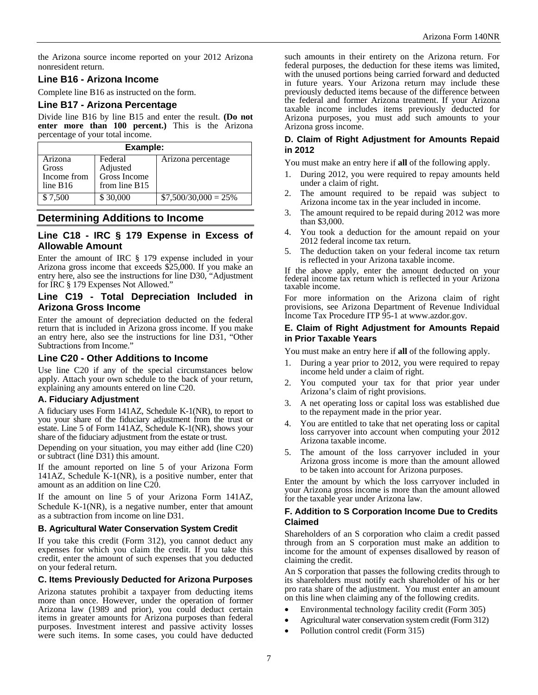the Arizona source income reported on your 2012 Arizona nonresident return.

## **Line B16 - Arizona Income**

Complete line B16 as instructed on the form.

## **Line B17 - Arizona Percentage**

Divide line B16 by line B15 and enter the result. **(Do not enter more than 100 percent.)** This is the Arizona percentage of your total income.

| Example:                                    |                                                      |                        |  |
|---------------------------------------------|------------------------------------------------------|------------------------|--|
| Arizona<br>Gross<br>Income from<br>line B16 | Federal<br>Adjusted<br>Gross Income<br>from line B15 | Arizona percentage     |  |
| \$7,500                                     | \$30,000                                             | $$7,500/30,000 = 25\%$ |  |

# **Determining Additions to Income**

#### **Line C18 - IRC § 179 Expense in Excess of Allowable Amount**

Enter the amount of IRC § 179 expense included in your Arizona gross income that exceeds \$25,000. If you make an entry here, also see the instructions for line D30, "Adjustment for IRC § 179 Expenses Not Allowed."

#### **Line C19 - Total Depreciation Included in Arizona Gross Income**

Enter the amount of depreciation deducted on the federal return that is included in Arizona gross income. If you make an entry here, also see the instructions for line D31, "Other Subtractions from Income."

## **Line C20 - Other Additions to Income**

Use line C20 if any of the special circumstances below apply. Attach your own schedule to the back of your return, explaining any amounts entered on line C20.

#### **A. Fiduciary Adjustment**

A fiduciary uses Form 141AZ, Schedule K-1(NR), to report to you your share of the fiduciary adjustment from the trust or estate. Line 5 of Form 141AZ, Schedule K-1(NR), shows your share of the fiduciary adjustment from the estate or trust.

Depending on your situation, you may either add (line C20) or subtract (line D31) this amount.

If the amount reported on line 5 of your Arizona Form 141AZ, Schedule K-1(NR), is a positive number, enter that amount as an addition on line C20.

If the amount on line 5 of your Arizona Form 141AZ, Schedule K-1(NR), is a negative number, enter that amount as a subtraction from income on line D31.

#### **B. Agricultural Water Conservation System Credit**

If you take this credit (Form 312), you cannot deduct any expenses for which you claim the credit. If you take this credit, enter the amount of such expenses that you deducted on your federal return.

#### **C. Items Previously Deducted for Arizona Purposes**

Arizona statutes prohibit a taxpayer from deducting items more than once. However, under the operation of former Arizona law (1989 and prior), you could deduct certain items in greater amounts for Arizona purposes than federal purposes. Investment interest and passive activity losses were such items. In some cases, you could have deducted such amounts in their entirety on the Arizona return. For federal purposes, the deduction for these items was limited, with the unused portions being carried forward and deducted in future years. Your Arizona return may include these previously deducted items because of the difference between the federal and former Arizona treatment. If your Arizona taxable income includes items previously deducted for Arizona purposes, you must add such amounts to your Arizona gross income.

#### **D. Claim of Right Adjustment for Amounts Repaid in 2012**

You must make an entry here if **all** of the following apply.

- 1. During 2012, you were required to repay amounts held under a claim of right.
- 2. The amount required to be repaid was subject to Arizona income tax in the year included in income.
- 3. The amount required to be repaid during 2012 was more than \$3,000.
- 4. You took a deduction for the amount repaid on your 2012 federal income tax return.
- 5. The deduction taken on your federal income tax return is reflected in your Arizona taxable income.

If the above apply, enter the amount deducted on your federal income tax return which is reflected in your Arizona taxable income.

For more information on the Arizona claim of right provisions, see Arizona Department of Revenue Individual Income Tax Procedure ITP 95-1 at www.azdor.gov.

#### **E. Claim of Right Adjustment for Amounts Repaid in Prior Taxable Years**

You must make an entry here if **all** of the following apply.

- 1. During a year prior to 2012, you were required to repay income held under a claim of right.
- 2. You computed your tax for that prior year under Arizona's claim of right provisions.
- 3. A net operating loss or capital loss was established due to the repayment made in the prior year.
- 4. You are entitled to take that net operating loss or capital loss carryover into account when computing your 2012 Arizona taxable income.
- 5. The amount of the loss carryover included in your Arizona gross income is more than the amount allowed to be taken into account for Arizona purposes.

Enter the amount by which the loss carryover included in your Arizona gross income is more than the amount allowed for the taxable year under Arizona law.

#### **F. Addition to S Corporation Income Due to Credits Claimed**

Shareholders of an S corporation who claim a credit passed through from an S corporation must make an addition to income for the amount of expenses disallowed by reason of claiming the credit.

An S corporation that passes the following credits through to its shareholders must notify each shareholder of his or her pro rata share of the adjustment. You must enter an amount on this line when claiming any of the following credits.

- Environmental technology facility credit (Form 305)
- Agricultural water conservation system credit (Form 312)
- Pollution control credit (Form 315)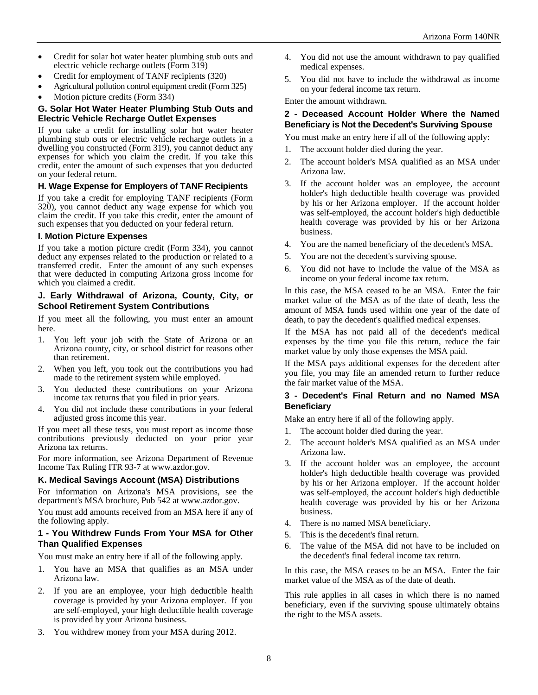- Credit for solar hot water heater plumbing stub outs and electric vehicle recharge outlets (Form 319)
- Credit for employment of TANF recipients (320)
- Agricultural pollution control equipment credit (Form 325)
- Motion picture credits (Form 334)

#### **G. Solar Hot Water Heater Plumbing Stub Outs and Electric Vehicle Recharge Outlet Expenses**

If you take a credit for installing solar hot water heater plumbing stub outs or electric vehicle recharge outlets in a dwelling you constructed (Form 319), you cannot deduct any expenses for which you claim the credit. If you take this credit, enter the amount of such expenses that you deducted on your federal return.

#### **H. Wage Expense for Employers of TANF Recipients**

If you take a credit for employing TANF recipients (Form 320), you cannot deduct any wage expense for which you claim the credit. If you take this credit, enter the amount of such expenses that you deducted on your federal return.

#### **I. Motion Picture Expenses**

If you take a motion picture credit (Form 334), you cannot deduct any expenses related to the production or related to a transferred credit. Enter the amount of any such expenses that were deducted in computing Arizona gross income for which you claimed a credit.

#### **J. Early Withdrawal of Arizona, County, City, or School Retirement System Contributions**

If you meet all the following, you must enter an amount here.

- 1. You left your job with the State of Arizona or an Arizona county, city, or school district for reasons other than retirement.
- 2. When you left, you took out the contributions you had made to the retirement system while employed.
- 3. You deducted these contributions on your Arizona income tax returns that you filed in prior years.
- 4. You did not include these contributions in your federal adjusted gross income this year.

If you meet all these tests, you must report as income those contributions previously deducted on your prior year Arizona tax returns.

For more information, see Arizona Department of Revenue Income Tax Ruling ITR 93-7 at www.azdor.gov.

## **K. Medical Savings Account (MSA) Distributions**

For information on Arizona's MSA provisions, see the department's MSA brochure, Pub 542 at www.azdor.gov.

You must add amounts received from an MSA here if any of the following apply.

#### **1 - You Withdrew Funds From Your MSA for Other Than Qualified Expenses**

You must make an entry here if all of the following apply.

- 1. You have an MSA that qualifies as an MSA under Arizona law.
- 2. If you are an employee, your high deductible health coverage is provided by your Arizona employer. If you are self-employed, your high deductible health coverage is provided by your Arizona business.
- 3. You withdrew money from your MSA during 2012.
- 4. You did not use the amount withdrawn to pay qualified medical expenses.
- 5. You did not have to include the withdrawal as income on your federal income tax return.

Enter the amount withdrawn.

#### **2 - Deceased Account Holder Where the Named Beneficiary is Not the Decedent's Surviving Spouse**

You must make an entry here if all of the following apply:

- 1. The account holder died during the year.
- 2. The account holder's MSA qualified as an MSA under Arizona law.
- 3. If the account holder was an employee, the account holder's high deductible health coverage was provided by his or her Arizona employer. If the account holder was self-employed, the account holder's high deductible health coverage was provided by his or her Arizona business.
- 4. You are the named beneficiary of the decedent's MSA.
- 5. You are not the decedent's surviving spouse.
- 6. You did not have to include the value of the MSA as income on your federal income tax return.

In this case, the MSA ceased to be an MSA. Enter the fair market value of the MSA as of the date of death, less the amount of MSA funds used within one year of the date of death, to pay the decedent's qualified medical expenses.

If the MSA has not paid all of the decedent's medical expenses by the time you file this return, reduce the fair market value by only those expenses the MSA paid.

If the MSA pays additional expenses for the decedent after you file, you may file an amended return to further reduce the fair market value of the MSA.

#### **3 - Decedent's Final Return and no Named MSA Beneficiary**

Make an entry here if all of the following apply.

- 1. The account holder died during the year.
- 2. The account holder's MSA qualified as an MSA under Arizona law.
- 3. If the account holder was an employee, the account holder's high deductible health coverage was provided by his or her Arizona employer. If the account holder was self-employed, the account holder's high deductible health coverage was provided by his or her Arizona business.
- 4. There is no named MSA beneficiary.
- 5. This is the decedent's final return.
- 6. The value of the MSA did not have to be included on the decedent's final federal income tax return.

In this case, the MSA ceases to be an MSA. Enter the fair market value of the MSA as of the date of death.

This rule applies in all cases in which there is no named beneficiary, even if the surviving spouse ultimately obtains the right to the MSA assets.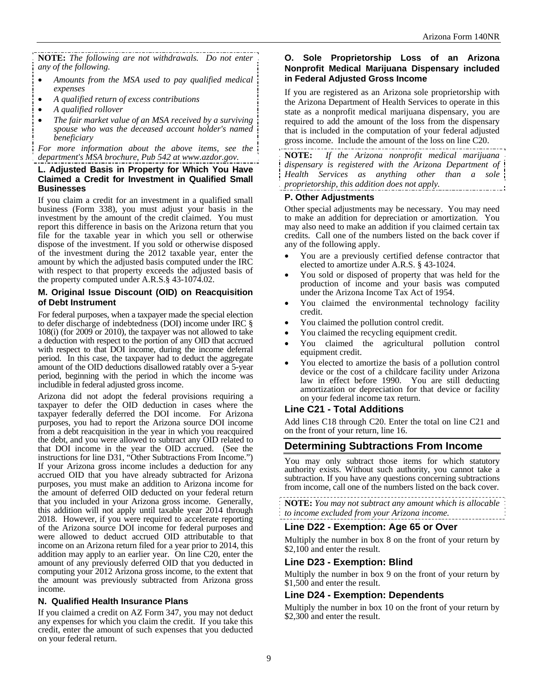**NOTE:** *The following are not withdrawals. Do not enter any of the following.* 

- *Amounts from the MSA used to pay qualified medical expenses*
- *A qualified return of excess contributions*
- *A qualified rollover*
- *The fair market value of an MSA received by a surviving spouse who was the deceased account holder's named beneficiary*

*For more information about the above items, see the department's MSA brochure, Pub 542 at www.azdor.gov.* 

#### **L. Adjusted Basis in Property for Which You Have Claimed a Credit for Investment in Qualified Small Businesses**

If you claim a credit for an investment in a qualified small business (Form 338), you must adjust your basis in the investment by the amount of the credit claimed. You must report this difference in basis on the Arizona return that you file for the taxable year in which you sell or otherwise dispose of the investment. If you sold or otherwise disposed of the investment during the 2012 taxable year, enter the amount by which the adjusted basis computed under the IRC with respect to that property exceeds the adjusted basis of the property computed under A.R.S.§ 43-1074.02.

#### **M. Original Issue Discount (OID) on Reacquisition of Debt Instrument**

For federal purposes, when a taxpayer made the special election to defer discharge of indebtedness (DOI) income under IRC § 108(i) (for 2009 or 2010), the taxpayer was not allowed to take a deduction with respect to the portion of any OID that accrued with respect to that DOI income, during the income deferral period. In this case, the taxpayer had to deduct the aggregate amount of the OID deductions disallowed ratably over a 5-year period, beginning with the period in which the income was includible in federal adjusted gross income.

Arizona did not adopt the federal provisions requiring a taxpayer to defer the OID deduction in cases where the taxpayer federally deferred the DOI income. For Arizona purposes, you had to report the Arizona source DOI income from a debt reacquisition in the year in which you reacquired the debt, and you were allowed to subtract any OID related to that DOI income in the year the OID accrued. (See the instructions for line D31, "Other Subtractions From Income.") If your Arizona gross income includes a deduction for any accrued OID that you have already subtracted for Arizona purposes, you must make an addition to Arizona income for the amount of deferred OID deducted on your federal return that you included in your Arizona gross income. Generally, this addition will not apply until taxable year 2014 through 2018. However, if you were required to accelerate reporting of the Arizona source DOI income for federal purposes and were allowed to deduct accrued OID attributable to that income on an Arizona return filed for a year prior to 2014, this addition may apply to an earlier year. On line C20, enter the amount of any previously deferred OID that you deducted in computing your 2012 Arizona gross income, to the extent that the amount was previously subtracted from Arizona gross income.

## **N. Qualified Health Insurance Plans**

If you claimed a credit on AZ Form 347, you may not deduct any expenses for which you claim the credit. If you take this credit, enter the amount of such expenses that you deducted on your federal return.

#### **O. Sole Proprietorship Loss of an Arizona Nonprofit Medical Marijuana Dispensary included in Federal Adjusted Gross Income**

If you are registered as an Arizona sole proprietorship with the Arizona Department of Health Services to operate in this state as a nonprofit medical marijuana dispensary, you are required to add the amount of the loss from the dispensary that is included in the computation of your federal adjusted gross income. Include the amount of the loss on line C20.

**NOTE:** *If the Arizona nonprofit medical marijuana dispensary is registered with the Arizona Department of Health Services as anything other than a sole proprietorship, this addition does not apply.* 

#### **P. Other Adjustments**

Other special adjustments may be necessary. You may need to make an addition for depreciation or amortization. You may also need to make an addition if you claimed certain tax credits. Call one of the numbers listed on the back cover if any of the following apply.

- You are a previously certified defense contractor that elected to amortize under A.R.S. § 43-1024.
- You sold or disposed of property that was held for the production of income and your basis was computed under the Arizona Income Tax Act of 1954.
- You claimed the environmental technology facility credit.
- You claimed the pollution control credit.
- You claimed the recycling equipment credit.
- You claimed the agricultural pollution control equipment credit.
- You elected to amortize the basis of a pollution control device or the cost of a childcare facility under Arizona law in effect before 1990. You are still deducting amortization or depreciation for that device or facility on your federal income tax return.

## **Line C21 - Total Additions**

Add lines C18 through C20. Enter the total on line C21 and on the front of your return, line 16.

# **Determining Subtractions From Income**

You may only subtract those items for which statutory authority exists. Without such authority, you cannot take a subtraction. If you have any questions concerning subtractions from income, call one of the numbers listed on the back cover.

**NOTE:** *You may not subtract any amount which is allocable to income excluded from your Arizona income.* 

## **Line D22 - Exemption: Age 65 or Over**

Multiply the number in box 8 on the front of your return by \$2,100 and enter the result.

## **Line D23 - Exemption: Blind**

Multiply the number in box 9 on the front of your return by \$1,500 and enter the result.

## **Line D24 - Exemption: Dependents**

Multiply the number in box 10 on the front of your return by \$2,300 and enter the result.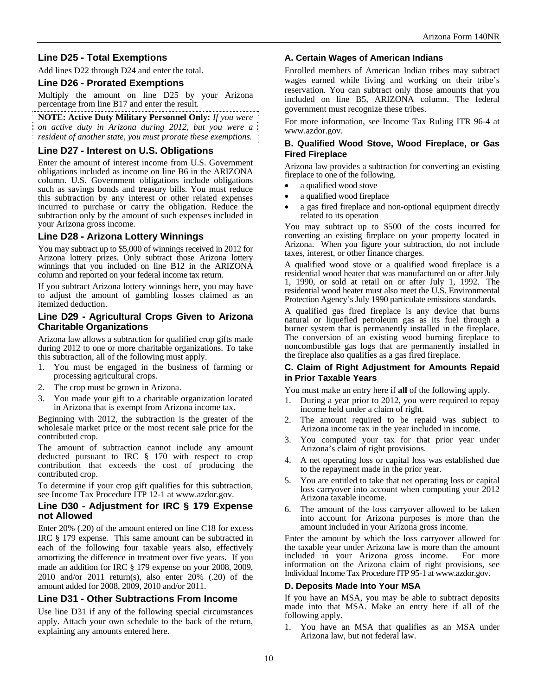# **Line D25 - Total Exemptions**

Add lines D22 through D24 and enter the total.

#### **Line D26 - Prorated Exemptions**

Multiply the amount on line D25 by your Arizona percentage from line B17 and enter the result.

**NOTE: Active Duty Military Personnel Only:** *If you were on active duty in Arizona during 2012, but you were a resident of another state, you must prorate these exemptions.* 

#### **Line D27 - Interest on U.S. Obligations**

Enter the amount of interest income from U.S. Government obligations included as income on line B6 in the ARIZONA column. U.S. Government obligations include obligations such as savings bonds and treasury bills. You must reduce this subtraction by any interest or other related expenses incurred to purchase or carry the obligation. Reduce the subtraction only by the amount of such expenses included in your Arizona gross income.

## **Line D28 - Arizona Lottery Winnings**

You may subtract up to \$5,000 of winnings received in 2012 for Arizona lottery prizes. Only subtract those Arizona lottery winnings that you included on line B12 in the ARIZONA column and reported on your federal income tax return.

If you subtract Arizona lottery winnings here, you may have to adjust the amount of gambling losses claimed as an itemized deduction.

#### **Line D29 - Agricultural Crops Given to Arizona Charitable Organizations**

Arizona law allows a subtraction for qualified crop gifts made during 2012 to one or more charitable organizations. To take this subtraction, all of the following must apply.

- 1. You must be engaged in the business of farming or processing agricultural crops.
- 2. The crop must be grown in Arizona.
- 3. You made your gift to a charitable organization located in Arizona that is exempt from Arizona income tax.

Beginning with 2012, the subtraction is the greater of the wholesale market price or the most recent sale price for the contributed crop.

The amount of subtraction cannot include any amount deducted pursuant to IRC § 170 with respect to crop contribution that exceeds the cost of producing the contributed crop.

To determine if your crop gift qualifies for this subtraction, see Income Tax Procedure ITP 12-1 at www.azdor.gov.

#### **Line D30 - Adjustment for IRC § 179 Expense not Allowed**

Enter 20% (.20) of the amount entered on line C18 for excess IRC § 179 expense. This same amount can be subtracted in each of the following four taxable years also, effectively amortizing the difference in treatment over five years. If you made an addition for IRC § 179 expense on your 2008, 2009, 2010 and/or 2011 return(s), also enter 20% (.20) of the amount added for 2008, 2009, 2010 and/or 2011.

## **Line D31 - Other Subtractions From Income**

Use line D31 if any of the following special circumstances apply. Attach your own schedule to the back of the return, explaining any amounts entered here.

#### **A. Certain Wages of American Indians**

Enrolled members of American Indian tribes may subtract wages earned while living and working on their tribe's reservation. You can subtract only those amounts that you included on line B5, ARIZONA column. The federal government must recognize these tribes.

For more information, see Income Tax Ruling ITR 96-4 at www.azdor.gov.

#### **B. Qualified Wood Stove, Wood Fireplace, or Gas Fired Fireplace**

Arizona law provides a subtraction for converting an existing fireplace to one of the following.

- a qualified wood stove
- a qualified wood fireplace
- a gas fired fireplace and non-optional equipment directly related to its operation

You may subtract up to \$500 of the costs incurred for converting an existing fireplace on your property located in Arizona. When you figure your subtraction, do not include taxes, interest, or other finance charges.

A qualified wood stove or a qualified wood fireplace is a residential wood heater that was manufactured on or after July 1, 1990, or sold at retail on or after July 1, 1992. The residential wood heater must also meet the U.S. Environmental Protection Agency's July 1990 particulate emissions standards.

A qualified gas fired fireplace is any device that burns natural or liquefied petroleum gas as its fuel through a burner system that is permanently installed in the fireplace. The conversion of an existing wood burning fireplace to noncombustible gas logs that are permanently installed in the fireplace also qualifies as a gas fired fireplace.

#### **C. Claim of Right Adjustment for Amounts Repaid in Prior Taxable Years**

You must make an entry here if **all** of the following apply.

- During a year prior to 2012, you were required to repay income held under a claim of right.
- 2. The amount required to be repaid was subject to Arizona income tax in the year included in income.
- 3. You computed your tax for that prior year under Arizona's claim of right provisions.
- 4. A net operating loss or capital loss was established due to the repayment made in the prior year.
- 5. You are entitled to take that net operating loss or capital loss carryover into account when computing your  $\overline{2012}$ Arizona taxable income.
- 6. The amount of the loss carryover allowed to be taken into account for Arizona purposes is more than the amount included in your Arizona gross income.

Enter the amount by which the loss carryover allowed for the taxable year under Arizona law is more than the amount included in your Arizona gross income. For more included in your Arizona gross income. information on the Arizona claim of right provisions, see Individual Income Tax Procedure ITP 95-1 at www.azdor.gov.

#### **D. Deposits Made Into Your MSA**

If you have an MSA, you may be able to subtract deposits made into that MSA. Make an entry here if all of the following apply.

1. You have an MSA that qualifies as an MSA under Arizona law, but not federal law.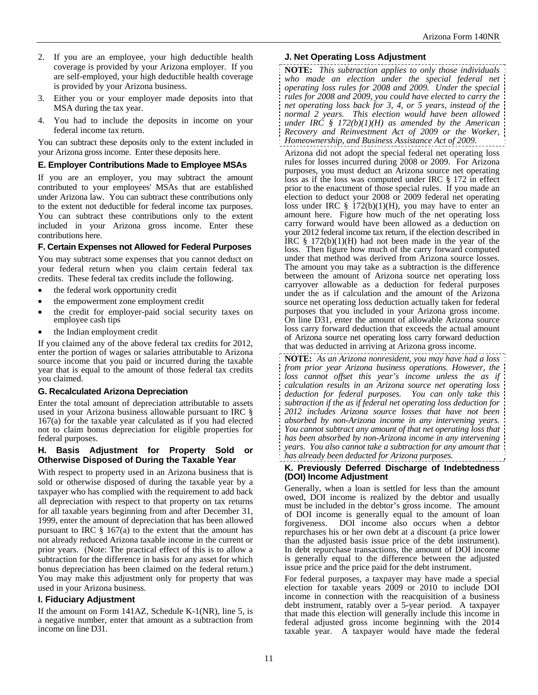- 2. If you are an employee, your high deductible health coverage is provided by your Arizona employer. If you are self-employed, your high deductible health coverage is provided by your Arizona business.
- 3. Either you or your employer made deposits into that MSA during the tax year.
- 4. You had to include the deposits in income on your federal income tax return.

You can subtract these deposits only to the extent included in your Arizona gross income. Enter these deposits here.

#### **E. Employer Contributions Made to Employee MSAs**

If you are an employer, you may subtract the amount contributed to your employees' MSAs that are established under Arizona law. You can subtract these contributions only to the extent not deductible for federal income tax purposes. You can subtract these contributions only to the extent included in your Arizona gross income. Enter these contributions here.

#### **F. Certain Expenses not Allowed for Federal Purposes**

You may subtract some expenses that you cannot deduct on your federal return when you claim certain federal tax credits. These federal tax credits include the following.

- the federal work opportunity credit
- the empowerment zone employment credit
- the credit for employer-paid social security taxes on employee cash tips
- the Indian employment credit

If you claimed any of the above federal tax credits for 2012, enter the portion of wages or salaries attributable to Arizona source income that you paid or incurred during the taxable year that is equal to the amount of those federal tax credits you claimed.

## **G. Recalculated Arizona Depreciation**

Enter the total amount of depreciation attributable to assets used in your Arizona business allowable pursuant to IRC § 167(a) for the taxable year calculated as if you had elected not to claim bonus depreciation for eligible properties for federal purposes.

#### **H. Basis Adjustment for Property Sold or Otherwise Disposed of During the Taxable Year**

With respect to property used in an Arizona business that is sold or otherwise disposed of during the taxable year by a taxpayer who has complied with the requirement to add back all depreciation with respect to that property on tax returns for all taxable years beginning from and after December 31, 1999, enter the amount of depreciation that has been allowed pursuant to IRC  $\S$  167(a) to the extent that the amount has not already reduced Arizona taxable income in the current or prior years. (Note: The practical effect of this is to allow a subtraction for the difference in basis for any asset for which bonus depreciation has been claimed on the federal return.) You may make this adjustment only for property that was used in your Arizona business.

## **I. Fiduciary Adjustment**

If the amount on Form 141AZ, Schedule K-1(NR), line 5, is a negative number, enter that amount as a subtraction from income on line D31.

## **J. Net Operating Loss Adjustment**

**NOTE:** *This subtraction applies to only those individuals who made an election under the special federal net operating loss rules for 2008 and 2009. Under the special rules for 2008 and 2009, you could have elected to carry the net operating loss back for 3, 4, or 5 years, instead of the normal 2 years. This election would have been allowed under IRC § 172(b)(1)(H) as amended by the American Recovery and Reinvestment Act of 2009 or the Worker, Homeownership, and Business Assistance Act of 2009.* 

Arizona did not adopt the special federal net operating loss rules for losses incurred during 2008 or 2009. For Arizona purposes, you must deduct an Arizona source net operating loss as if the loss was computed under IRC § 172 in effect prior to the enactment of those special rules. If you made an election to deduct your 2008 or 2009 federal net operating loss under IRC  $\S$  172(b)(1)(H), you may have to enter an amount here. Figure how much of the net operating loss carry forward would have been allowed as a deduction on your 2012 federal income tax return, if the election described in IRC  $\S$  172(b)(1)(H) had not been made in the year of the loss. Then figure how much of the carry forward computed under that method was derived from Arizona source losses. The amount you may take as a subtraction is the difference between the amount of Arizona source net operating loss carryover allowable as a deduction for federal purposes under the as if calculation and the amount of the Arizona source net operating loss deduction actually taken for federal purposes that you included in your Arizona gross income. On line D31, enter the amount of allowable Arizona source loss carry forward deduction that exceeds the actual amount of Arizona source net operating loss carry forward deduction that was deducted in arriving at Arizona gross income.

**NOTE:** *As an Arizona nonresident, you may have had a loss from prior year Arizona business operations. However, the loss cannot offset this year's income unless the as if calculation results in an Arizona source net operating loss deduction for federal purposes. You can only take this subtraction if the as if federal net operating loss deduction for 2012 includes Arizona source losses that have not been absorbed by non-Arizona income in any intervening years. You cannot subtract any amount of that net operating loss that has been absorbed by non-Arizona income in any intervening years. You also cannot take a subtraction for any amount that has already been deducted for Arizona purposes.* 

#### **K. Previously Deferred Discharge of Indebtedness (DOI) Income Adjustment**

Generally, when a loan is settled for less than the amount owed, DOI income is realized by the debtor and usually must be included in the debtor's gross income. The amount of DOI income is generally equal to the amount of loan forgiveness. DOI income also occurs when a debtor repurchases his or her own debt at a discount (a price lower than the adjusted basis issue price of the debt instrument). In debt repurchase transactions, the amount of DOI income is generally equal to the difference between the adjusted issue price and the price paid for the debt instrument.

For federal purposes, a taxpayer may have made a special election for taxable years 2009 or 2010 to include DOI income in connection with the reacquisition of a business debt instrument, ratably over a 5-year period. A taxpayer that made this election will generally include this income in federal adjusted gross income beginning with the 2014 taxable year. A taxpayer would have made the federal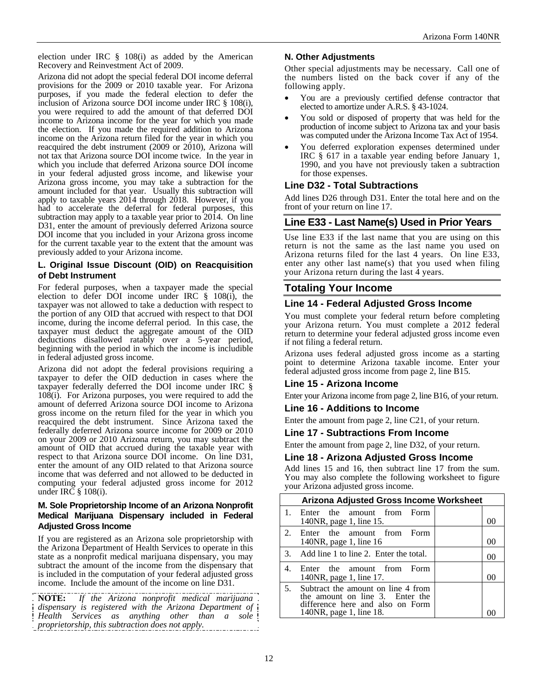election under IRC § 108(i) as added by the American Recovery and Reinvestment Act of 2009.

Arizona did not adopt the special federal DOI income deferral provisions for the 2009 or 2010 taxable year. For Arizona purposes, if you made the federal election to defer the inclusion of Arizona source DOI income under IRC § 108(i), you were required to add the amount of that deferred DOI income to Arizona income for the year for which you made the election. If you made the required addition to Arizona income on the Arizona return filed for the year in which you reacquired the debt instrument (2009 or 2010), Arizona will not tax that Arizona source DOI income twice. In the year in which you include that deferred Arizona source DOI income in your federal adjusted gross income, and likewise your Arizona gross income, you may take a subtraction for the amount included for that year. Usually this subtraction will apply to taxable years 2014 through 2018. However, if you had to accelerate the deferral for federal purposes, this subtraction may apply to a taxable year prior to 2014. On line D31, enter the amount of previously deferred Arizona source DOI income that you included in your Arizona gross income for the current taxable year to the extent that the amount was previously added to your Arizona income.

#### **L. Original Issue Discount (OID) on Reacquisition of Debt Instrument**

For federal purposes, when a taxpayer made the special election to defer DOI income under IRC § 108(i), the taxpayer was not allowed to take a deduction with respect to the portion of any OID that accrued with respect to that DOI income, during the income deferral period. In this case, the taxpayer must deduct the aggregate amount of the OID deductions disallowed ratably over a 5-year period, beginning with the period in which the income is includible in federal adjusted gross income.

Arizona did not adopt the federal provisions requiring a taxpayer to defer the OID deduction in cases where the taxpayer federally deferred the DOI income under IRC § 108(i). For Arizona purposes, you were required to add the amount of deferred Arizona source DOI income to Arizona gross income on the return filed for the year in which you reacquired the debt instrument. Since Arizona taxed the federally deferred Arizona source income for 2009 or 2010 on your 2009 or 2010 Arizona return, you may subtract the amount of OID that accrued during the taxable year with respect to that Arizona source DOI income. On line D31, enter the amount of any OID related to that Arizona source income that was deferred and not allowed to be deducted in computing your federal adjusted gross income for 2012 under IRC § 108(i).

#### **M. Sole Proprietorship Income of an Arizona Nonprofit Medical Marijuana Dispensary included in Federal Adjusted Gross Income**

If you are registered as an Arizona sole proprietorship with the Arizona Department of Health Services to operate in this state as a nonprofit medical marijuana dispensary, you may subtract the amount of the income from the dispensary that is included in the computation of your federal adjusted gross income. Include the amount of the income on line D31.

**NOTE:** *If the Arizona nonprofit medical marijuana dispensary is registered with the Arizona Department of Health Services as anything other than a sole proprietorship, this subtraction does not apply.*

## **N. Other Adjustments**

Other special adjustments may be necessary. Call one of the numbers listed on the back cover if any of the following apply.

- You are a previously certified defense contractor that elected to amortize under A.R.S. § 43-1024.
- You sold or disposed of property that was held for the production of income subject to Arizona tax and your basis was computed under the Arizona Income Tax Act of 1954.
- You deferred exploration expenses determined under IRC § 617 in a taxable year ending before January 1, 1990, and you have not previously taken a subtraction for those expenses.

## **Line D32 - Total Subtractions**

Add lines D26 through D31. Enter the total here and on the front of your return on line 17.

## **Line E33 - Last Name(s) Used in Prior Years**

Use line E33 if the last name that you are using on this return is not the same as the last name you used on Arizona returns filed for the last 4 years. On line E33, enter any other last name(s) that you used when filing your Arizona return during the last 4 years.

## **Totaling Your Income**

#### **Line 14 - Federal Adjusted Gross Income**

You must complete your federal return before completing your Arizona return. You must complete a 2012 federal return to determine your federal adjusted gross income even if not filing a federal return.

Arizona uses federal adjusted gross income as a starting point to determine Arizona taxable income. Enter your federal adjusted gross income from page 2, line B15.

## **Line 15 - Arizona Income**

Enter your Arizona income from page 2, line B16, of your return.

#### **Line 16 - Additions to Income**

Enter the amount from page 2, line C21, of your return.

#### **Line 17 - Subtractions From Income**

Enter the amount from page 2, line D32, of your return.

#### **Line 18 - Arizona Adjusted Gross Income**

Add lines 15 and 16, then subtract line 17 from the sum. You may also complete the following worksheet to figure your Arizona adjusted gross income.

|             | <b>Arizona Adjusted Gross Income Worksheet</b>                                                                                       |    |
|-------------|--------------------------------------------------------------------------------------------------------------------------------------|----|
| $1_{-}$     | Enter the amount from Form<br>140NR, page 1, line 15.                                                                                | 00 |
| $2^{\circ}$ | Enter the amount from Form<br>140NR, page 1, line 16                                                                                 | 00 |
|             | 3. Add line 1 to line 2. Enter the total.                                                                                            | 00 |
| 4.          | Enter the amount from Form<br>140NR, page 1, line 17.                                                                                | ററ |
| 5.          | Subtract the amount on line 4 from<br>the amount on line 3. Enter the<br>difference here and also on Form<br>140NR, page 1, line 18. |    |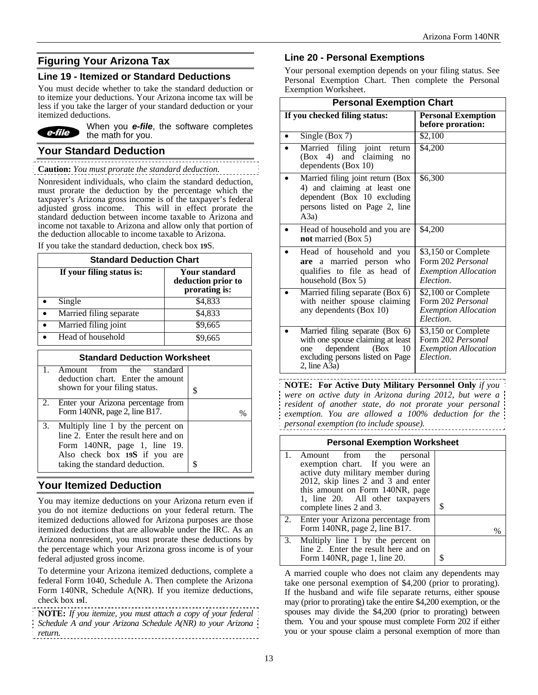# **Figuring Your Arizona Tax**

## **Line 19 - Itemized or Standard Deductions**

You must decide whether to take the standard deduction or to itemize your deductions. Your Arizona income tax will be less if you take the larger of your standard deduction or your itemized deductions.



When you *e-file*, the software completes the math for you.

# **Your Standard Deduction**

**Caution:** *You must prorate the standard deduction.* 

Nonresident individuals, who claim the standard deduction, must prorate the deduction by the percentage which the taxpayer's Arizona gross income is of the taxpayer's federal adjusted gross income. This will in effect prorate the standard deduction between income taxable to Arizona and income not taxable to Arizona and allow only that portion of the deduction allocable to income taxable to Arizona.

If you take the standard deduction, check box **19**S.

| <b>Standard Deduction Chart</b> |                                                             |  |  |
|---------------------------------|-------------------------------------------------------------|--|--|
| If your filing status is:       | <b>Your standard</b><br>deduction prior to<br>prorating is: |  |  |
| Single                          | \$4,833                                                     |  |  |
| Married filing separate         | \$4,833                                                     |  |  |
| Married filing joint            | \$9,665                                                     |  |  |
| Head of household               | \$9,665                                                     |  |  |

| <b>Standard Deduction Worksheet</b> |                                                                                                                                                                              |  |
|-------------------------------------|------------------------------------------------------------------------------------------------------------------------------------------------------------------------------|--|
|                                     | 1. Amount from the standard<br>deduction chart. Enter the amount<br>shown for your filing status.                                                                            |  |
|                                     | 2. Enter your Arizona percentage from<br>Form 140NR, page 2, line B17.                                                                                                       |  |
| 3.                                  | Multiply line 1 by the percent on<br>line 2. Enter the result here and on<br>Form 140NR, page 1, line 19.<br>Also check box 19S if you are<br>taking the standard deduction. |  |

# **Your Itemized Deduction**

You may itemize deductions on your Arizona return even if you do not itemize deductions on your federal return. The itemized deductions allowed for Arizona purposes are those itemized deductions that are allowable under the IRC. As an Arizona nonresident, you must prorate these deductions by the percentage which your Arizona gross income is of your federal adjusted gross income.

To determine your Arizona itemized deductions, complete a federal Form 1040, Schedule A. Then complete the Arizona Form 140NR, Schedule A(NR). If you itemize deductions, check box **19**I.

**NOTE:** *If you itemize, you must attach a copy of your federal Schedule A and your Arizona Schedule A(NR) to your Arizona return.* 

## **Line 20 - Personal Exemptions**

Your personal exemption depends on your filing status. See Personal Exemption Chart. Then complete the Personal Exemption Worksheet.

| <b>Personal Exemption Chart</b>                                                                                                                               |                                                                                             |  |  |
|---------------------------------------------------------------------------------------------------------------------------------------------------------------|---------------------------------------------------------------------------------------------|--|--|
| If you checked filing status:                                                                                                                                 | <b>Personal Exemption</b><br>before proration:                                              |  |  |
| Single (Box 7)                                                                                                                                                | \$2,100                                                                                     |  |  |
| filing joint<br>Married<br>return<br>(Box 4) and claiming<br>no<br>dependents (Box 10)                                                                        | \$4,200                                                                                     |  |  |
| Married filing joint return (Box<br>4) and claiming at least one<br>dependent (Box 10 excluding<br>persons listed on Page 2, line<br>(A3a)                    | \$6,300                                                                                     |  |  |
| Head of household and you are<br>not married (Box 5)                                                                                                          | \$4,200                                                                                     |  |  |
| Head of household and you<br>are a married person who<br>qualifies to file as head of<br>household (Box 5)                                                    | \$3,150 or Complete<br>Form 202 Personal<br><b>Exemption Allocation</b><br>Election.        |  |  |
| Married filing separate (Box 6)<br>with neither spouse claiming<br>any dependents (Box 10)                                                                    | \$2,100 or Complete<br>Form 202 Personal<br><b>Exemption Allocation</b><br>Election.        |  |  |
| Married filing separate (Box 6)<br>with one spouse claiming at least<br>dependent<br>(Box<br>10<br>one<br>excluding persons listed on Page<br>$2$ , line A3a) | \$3,150 or Complete<br>Form 202 Personal<br><i><b>Exemption Allocation</b></i><br>Election. |  |  |

**NOTE: For Active Duty Military Personnel Only** *if you were on active duty in Arizona during 2012, but were a resident of another state, do not prorate your personal exemption. You are allowed a 100% deduction for the personal exemption (to include spouse).* 

| <b>Personal Exemption Worksheet</b> |                                                                                                                                                                                                                                                |   |  |
|-------------------------------------|------------------------------------------------------------------------------------------------------------------------------------------------------------------------------------------------------------------------------------------------|---|--|
|                                     | 1. Amount from the<br>personal<br>exemption chart. If you were an<br>active duty military member during<br>2012, skip lines 2 and 3 and enter<br>this amount on Form 140NR, page<br>1, line 20. All other taxpayers<br>complete lines 2 and 3. | S |  |
|                                     | 2. Enter your Arizona percentage from<br>Form 140NR, page 2, line B17.                                                                                                                                                                         | % |  |
|                                     | 3. Multiply line 1 by the percent on<br>line 2. Enter the result here and on<br>Form 140NR, page 1, line 20.                                                                                                                                   |   |  |

A married couple who does not claim any dependents may take one personal exemption of \$4,200 (prior to prorating). If the husband and wife file separate returns, either spouse may (prior to prorating) take the entire \$4,200 exemption, or the spouses may divide the \$4,200 (prior to prorating) between them. You and your spouse must complete Form 202 if either you or your spouse claim a personal exemption of more than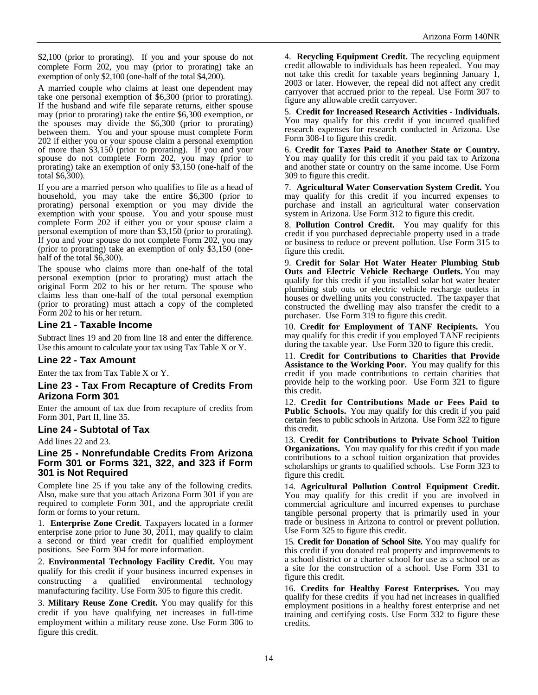\$2,100 (prior to prorating). If you and your spouse do not complete Form 202, you may (prior to prorating) take an exemption of only \$2,100 (one-half of the total \$4,200).

A married couple who claims at least one dependent may take one personal exemption of \$6,300 (prior to prorating). If the husband and wife file separate returns, either spouse may (prior to prorating) take the entire \$6,300 exemption, or the spouses may divide the \$6,300 (prior to prorating) between them. You and your spouse must complete Form 202 if either you or your spouse claim a personal exemption of more than \$3,150 (prior to prorating). If you and your spouse do not complete Form 202, you may (prior to prorating) take an exemption of only \$3,150 (one-half of the total \$6,300).

If you are a married person who qualifies to file as a head of household, you may take the entire \$6,300 (prior to prorating) personal exemption or you may divide the exemption with your spouse. You and your spouse must complete Form 202 if either you or your spouse claim a personal exemption of more than \$3,150 (prior to prorating). If you and your spouse do not complete Form 202, you may (prior to prorating) take an exemption of only \$3,150 (onehalf of the total \$6,300).

The spouse who claims more than one-half of the total personal exemption (prior to prorating) must attach the original Form 202 to his or her return. The spouse who claims less than one-half of the total personal exemption (prior to prorating) must attach a copy of the completed Form 202 to his or her return.

#### **Line 21 - Taxable Income**

Subtract lines 19 and 20 from line 18 and enter the difference. Use this amount to calculate your tax using Tax Table X or Y.

#### **Line 22 - Tax Amount**

Enter the tax from Tax Table X or Y.

#### **Line 23 - Tax From Recapture of Credits From Arizona Form 301**

Enter the amount of tax due from recapture of credits from Form 301, Part II, line 35.

#### **Line 24 - Subtotal of Tax**

Add lines 22 and 23.

#### **Line 25 - Nonrefundable Credits From Arizona Form 301 or Forms 321, 322, and 323 if Form 301 is Not Required**

Complete line 25 if you take any of the following credits. Also, make sure that you attach Arizona Form 301 if you are required to complete Form 301, and the appropriate credit form or forms to your return.

1. **Enterprise Zone Credit**. Taxpayers located in a former enterprise zone prior to June 30, 2011, may qualify to claim a second or third year credit for qualified employment positions. See Form 304 for more information.

2. **Environmental Technology Facility Credit.** You may qualify for this credit if your business incurred expenses in constructing a qualified environmental technology manufacturing facility. Use Form 305 to figure this credit.

3. **Military Reuse Zone Credit.** You may qualify for this credit if you have qualifying net increases in full-time employment within a military reuse zone. Use Form 306 to figure this credit.

4. **Recycling Equipment Credit.** The recycling equipment credit allowable to individuals has been repealed. You may not take this credit for taxable years beginning January 1, 2003 or later. However, the repeal did not affect any credit carryover that accrued prior to the repeal. Use Form 307 to figure any allowable credit carryover.

5. **Credit for Increased Research Activities - Individuals.** You may qualify for this credit if you incurred qualified research expenses for research conducted in Arizona. Use Form 308-I to figure this credit.

6. **Credit for Taxes Paid to Another State or Country.**  You may qualify for this credit if you paid tax to Arizona and another state or country on the same income. Use Form 309 to figure this credit.

7. **Agricultural Water Conservation System Credit.** You may qualify for this credit if you incurred expenses to purchase and install an agricultural water conservation system in Arizona. Use Form 312 to figure this credit.

8. **Pollution Control Credit.** You may qualify for this credit if you purchased depreciable property used in a trade or business to reduce or prevent pollution. Use Form 315 to figure this credit.

9. **Credit for Solar Hot Water Heater Plumbing Stub Outs and Electric Vehicle Recharge Outlets.** You may qualify for this credit if you installed solar hot water heater plumbing stub outs or electric vehicle recharge outlets in houses or dwelling units you constructed. The taxpayer that constructed the dwelling may also transfer the credit to a purchaser. Use Form 319 to figure this credit.

10. **Credit for Employment of TANF Recipients.** You may qualify for this credit if you employed TANF recipients during the taxable year. Use Form 320 to figure this credit.

11. **Credit for Contributions to Charities that Provide Assistance to the Working Poor.** You may qualify for this credit if you made contributions to certain charities that provide help to the working poor. Use Form 321 to figure this credit.

12. **Credit for Contributions Made or Fees Paid to**  Public Schools. You may qualify for this credit if you paid certain fees to public schools in Arizona. Use Form 322 to figure this credit.

13. **Credit for Contributions to Private School Tuition Organizations.** You may qualify for this credit if you made contributions to a school tuition organization that provides scholarships or grants to qualified schools. Use Form 323 to figure this credit.

14. **Agricultural Pollution Control Equipment Credit.**  You may qualify for this credit if you are involved in commercial agriculture and incurred expenses to purchase tangible personal property that is primarily used in your trade or business in Arizona to control or prevent pollution. Use Form 325 to figure this credit.

15. **Credit for Donation of School Site.** You may qualify for this credit if you donated real property and improvements to a school district or a charter school for use as a school or as a site for the construction of a school. Use Form 331 to figure this credit.

16. **Credits for Healthy Forest Enterprises.** You may qualify for these credits if you had net increases in qualified employment positions in a healthy forest enterprise and net training and certifying costs. Use Form 332 to figure these credits.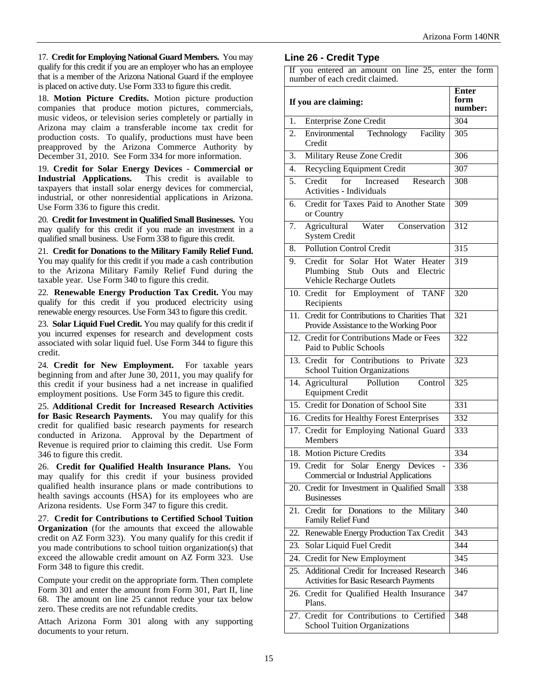17. **Credit for Employing National Guard Members.** You may qualify for this credit if you are an employer who has an employee that is a member of the Arizona National Guard if the employee is placed on active duty. Use Form 333 to figure this credit.

18. **Motion Picture Credits.** Motion picture production companies that produce motion pictures, commercials, music videos, or television series completely or partially in Arizona may claim a transferable income tax credit for production costs. To qualify, productions must have been preapproved by the Arizona Commerce Authority by December 31, 2010. See Form 334 for more information.

19. **Credit for Solar Energy Devices** - **Commercial or Industrial Applications.** This credit is available to taxpayers that install solar energy devices for commercial, industrial, or other nonresidential applications in Arizona. Use Form 336 to figure this credit.

20. **Credit for Investment in Qualified Small Businesses.** You may qualify for this credit if you made an investment in a qualified small business. Use Form 338 to figure this credit.

21. **Credit for Donations to the Military Family Relief Fund.** You may qualify for this credit if you made a cash contribution to the Arizona Military Family Relief Fund during the taxable year. Use Form 340 to figure this credit.

22. **Renewable Energy Production Tax Credit.** You may qualify for this credit if you produced electricity using renewable energy resources. Use Form 343 to figure this credit.

23. **Solar Liquid Fuel Credit.** You may qualify for this credit if you incurred expenses for research and development costs associated with solar liquid fuel. Use Form 344 to figure this credit.

24. **Credit for New Employment.** For taxable years beginning from and after June 30, 2011, you may qualify for this credit if your business had a net increase in qualified employment positions. Use Form 345 to figure this credit.

25. **Additional Credit for Increased Research Activities for Basic Research Payments.** You may qualify for this credit for qualified basic research payments for research conducted in Arizona. Approval by the Department of Revenue is required prior to claiming this credit. Use Form 346 to figure this credit.

26. **Credit for Qualified Health Insurance Plans.** You may qualify for this credit if your business provided qualified health insurance plans or made contributions to health savings accounts (HSA) for its employees who are Arizona residents. Use Form 347 to figure this credit.

27. **Credit for Contributions to Certified School Tuition Organization** (for the amounts that exceed the allowable credit on AZ Form 323). You many qualify for this credit if you made contributions to school tuition organization(s) that exceed the allowable credit amount on AZ Form 323. Use Form 348 to figure this credit.

Compute your credit on the appropriate form. Then complete Form 301 and enter the amount from Form 301, Part II, line 68. The amount on line 25 cannot reduce your tax below zero. These credits are not refundable credits.

Attach Arizona Form 301 along with any supporting documents to your return.

# **Line 26 - Credit Type**

If you entered an amount on line 25, enter the form number of each credit claimed.

| If you are claiming: |                                                                                                             | <b>Enter</b><br>form<br>number: |
|----------------------|-------------------------------------------------------------------------------------------------------------|---------------------------------|
| 1.                   | <b>Enterprise Zone Credit</b>                                                                               | 304                             |
| 2.                   | Environmental Technology<br>Facility<br>Credit                                                              | 305                             |
| 3.                   | Military Reuse Zone Credit                                                                                  | 306                             |
| 4.                   | <b>Recycling Equipment Credit</b>                                                                           | 307                             |
| 5.                   | for<br>Increased<br>Credit<br>Research<br>Activities - Individuals                                          | 308                             |
| 6.                   | Credit for Taxes Paid to Another State<br>or Country                                                        | 309                             |
| 7.                   | Agricultural<br>Water Conservation<br><b>System Credit</b>                                                  | 312                             |
| 8.                   | <b>Pollution Control Credit</b>                                                                             | 315                             |
| 9.                   | Credit for Solar Hot Water Heater<br>Plumbing Stub Outs and Electric<br>Vehicle Recharge Outlets            | $\overline{319}$                |
|                      | 10. Credit for Employment of TANF<br>Recipients                                                             | 320                             |
| 11.                  | Credit for Contributions to Charities That<br>Provide Assistance to the Working Poor                        | 321                             |
|                      | 12. Credit for Contributions Made or Fees<br>Paid to Public Schools                                         | 322                             |
|                      | 13. Credit for Contributions to<br>Private<br><b>School Tuition Organizations</b>                           | 323                             |
| 14.                  | Agricultural<br>Pollution<br>Control<br><b>Equipment Credit</b>                                             | 325                             |
|                      | 15. Credit for Donation of School Site                                                                      | 331                             |
|                      | 16. Credits for Healthy Forest Enterprises                                                                  | 332                             |
|                      | 17. Credit for Employing National Guard<br>Members                                                          | 333                             |
| 18.                  | <b>Motion Picture Credits</b>                                                                               | 334                             |
|                      | 19. Credit for<br>Solar Energy Devices<br>$\overline{\phantom{a}}$<br>Commercial or Industrial Applications | 336                             |
|                      | 20. Credit for Investment in Qualified Small<br><b>Businesses</b>                                           | 338                             |
| 21.                  | Credit for<br>Donations to the<br>Military<br>Family Relief Fund                                            | 340                             |
| 22.                  | Renewable Energy Production Tax Credit                                                                      | 343                             |
| 23.                  | Solar Liquid Fuel Credit                                                                                    | 344                             |
| 24.                  | Credit for New Employment                                                                                   | 345                             |
| 25.                  | Additional Credit for Increased Research<br>Activities for Basic Research Payments                          | 346                             |
|                      | 26. Credit for Qualified Health Insurance<br>Plans.                                                         | 347                             |
|                      | 27. Credit for Contributions to Certified<br><b>School Tuition Organizations</b>                            | 348                             |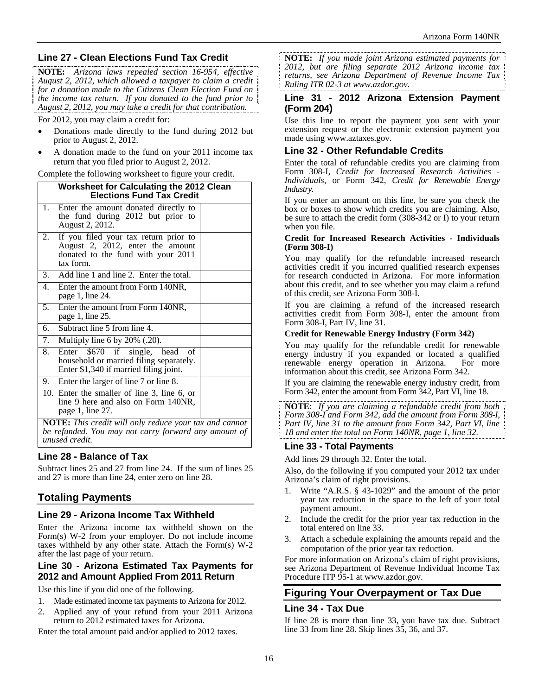# **Line 27 - Clean Elections Fund Tax Credit**

**NOTE:** *Arizona laws repealed section 16-954, effective August 2, 2012, which allowed a taxpayer to claim a credit for a donation made to the Citizens Clean Election Fund on the income tax return. If you donated to the fund prior to August 2, 2012, you may take a credit for that contribution.* 

For 2012, you may claim a credit for:

- Donations made directly to the fund during 2012 but prior to August 2, 2012.
- A donation made to the fund on your 2011 income tax return that you filed prior to August 2, 2012.

Complete the following worksheet to figure your credit.

| 1.<br>Enter the amount donated directly to<br>the fund during 2012 but prior to<br>August 2, 2012.<br>If you filed your tax return prior to<br>2.<br>August 2, 2012, enter the amount<br>donated to the fund with your 2011<br>tax form.<br>3. Add line 1 and line 2. Enter the total.<br>4.<br>Enter the amount from Form 140NR,<br>page 1, line 24. |  |  |
|-------------------------------------------------------------------------------------------------------------------------------------------------------------------------------------------------------------------------------------------------------------------------------------------------------------------------------------------------------|--|--|
|                                                                                                                                                                                                                                                                                                                                                       |  |  |
|                                                                                                                                                                                                                                                                                                                                                       |  |  |
|                                                                                                                                                                                                                                                                                                                                                       |  |  |
|                                                                                                                                                                                                                                                                                                                                                       |  |  |
| Enter the amount from Form 140NR,<br>5.<br>page 1, line 25.                                                                                                                                                                                                                                                                                           |  |  |
| Subtract line 5 from line 4.<br>6.                                                                                                                                                                                                                                                                                                                    |  |  |
| Multiply line 6 by $20\%$ (.20).<br>7.                                                                                                                                                                                                                                                                                                                |  |  |
| 8.<br>Enter \$670 if single, head of<br>household or married filing separately.<br>Enter \$1,340 if married filing joint.                                                                                                                                                                                                                             |  |  |
| 9. Enter the larger of line 7 or line 8.                                                                                                                                                                                                                                                                                                              |  |  |
| 10. Enter the smaller of line 3, line 6, or<br>line 9 here and also on Form 140NR,<br>page 1, line 27.                                                                                                                                                                                                                                                |  |  |
| <b>NOTE:</b> This credit will only reduce your tax and cannot                                                                                                                                                                                                                                                                                         |  |  |
| be refunded. You may not carry forward any amount of<br>unused credit.                                                                                                                                                                                                                                                                                |  |  |

# **Line 28 - Balance of Tax**

Subtract lines 25 and 27 from line 24. If the sum of lines 25 and 27 is more than line 24, enter zero on line 28.

# **Totaling Payments**

# **Line 29 - Arizona Income Tax Withheld**

Enter the Arizona income tax withheld shown on the Form(s) W-2 from your employer. Do not include income taxes withheld by any other state. Attach the Form(s) W-2 after the last page of your return.

## **Line 30 - Arizona Estimated Tax Payments for 2012 and Amount Applied From 2011 Return**

Use this line if you did one of the following.

- 1. Made estimated income tax payments to Arizona for 2012.
- 2. Applied any of your refund from your 2011 Arizona return to 2012 estimated taxes for Arizona.

Enter the total amount paid and/or applied to 2012 taxes.

**NOTE:** *If you made joint Arizona estimated payments for 2012, but are filing separate 2012 Arizona income tax returns, see Arizona Department of Revenue Income Tax Ruling ITR 02-3 at www.azdor.gov.*

#### **Line 31 - 2012 Arizona Extension Payment (Form 204)**

Use this line to report the payment you sent with your extension request or the electronic extension payment you made using www.aztaxes.gov.

# **Line 32 - Other Refundable Credits**

Enter the total of refundable credits you are claiming from Form 308-I, *Credit for Increased Research Activities - Individuals*, or Form 342, *Credit for Renewable Energy Industry.*

If you enter an amount on this line, be sure you check the box or boxes to show which credits you are claiming. Also, be sure to attach the credit form (308-342 or I) to your return when you file.

#### **Credit for Increased Research Activities - Individuals (Form 308-I)**

You may qualify for the refundable increased research activities credit if you incurred qualified research expenses for research conducted in Arizona. For more information about this credit, and to see whether you may claim a refund of this credit, see Arizona Form 308-I.

If you are claiming a refund of the increased research activities credit from Form 308-I, enter the amount from Form 308-I, Part IV, line 31.

#### **Credit for Renewable Energy Industry (Form 342)**

You may qualify for the refundable credit for renewable energy industry if you expanded or located a qualified renewable energy operation in Arizona. For more information about this credit, see Arizona Form 342.

If you are claiming the renewable energy industry credit, from Form 342, enter the amount from Form 342, Part VI, line 18.

**NOTE**: *If you are claiming a refundable credit from both Form 308-I and Form 342, add the amount from Form 308-I, Part IV, line 31 to the amount from Form 342, Part VI, line 18 and enter the total on Form 140NR, page 1, line 32.* 

# **Line 33 - Total Payments**

Add lines 29 through 32. Enter the total.

Also, do the following if you computed your 2012 tax under Arizona's claim of right provisions.

- Write "A.R.S. § 43-1029" and the amount of the prior year tax reduction in the space to the left of your total payment amount.
- 2. Include the credit for the prior year tax reduction in the total entered on line 33.
- 3. Attach a schedule explaining the amounts repaid and the computation of the prior year tax reduction.

For more information on Arizona's claim of right provisions, see Arizona Department of Revenue Individual Income Tax Procedure ITP 95-1 at www.azdor.gov.

# **Figuring Your Overpayment or Tax Due**

## **Line 34 - Tax Due**

If line 28 is more than line 33, you have tax due. Subtract line 33 from line 28. Skip lines 35, 36, and 37.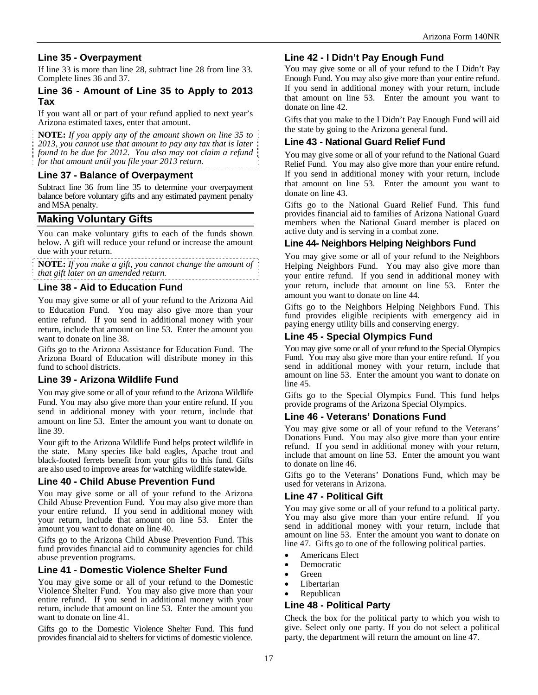# **Line 35 - Overpayment**

If line 33 is more than line 28, subtract line 28 from line 33. Complete lines 36 and 37.

#### **Line 36 - Amount of Line 35 to Apply to 2013 Tax**

If you want all or part of your refund applied to next year's Arizona estimated taxes, enter that amount.

**NOTE:** *If you apply any of the amount shown on line 35 to 2013, you cannot use that amount to pay any tax that is later found to be due for 2012. You also may not claim a refund for that amount until you file your 2013 return.*

#### **Line 37 - Balance of Overpayment**

Subtract line 36 from line 35 to determine your overpayment balance before voluntary gifts and any estimated payment penalty and MSA penalty.

# **Making Voluntary Gifts**

You can make voluntary gifts to each of the funds shown below. A gift will reduce your refund or increase the amount due with your return.

**NOTE:** *If you make a gift, you cannot change the amount of that gift later on an amended return.*

#### **Line 38 - Aid to Education Fund**

You may give some or all of your refund to the Arizona Aid to Education Fund. You may also give more than your entire refund. If you send in additional money with your return, include that amount on line 53. Enter the amount you want to donate on line 38.

Gifts go to the Arizona Assistance for Education Fund. The Arizona Board of Education will distribute money in this fund to school districts.

## **Line 39 - Arizona Wildlife Fund**

You may give some or all of your refund to the Arizona Wildlife Fund. You may also give more than your entire refund. If you send in additional money with your return, include that amount on line 53. Enter the amount you want to donate on line 39.

Your gift to the Arizona Wildlife Fund helps protect wildlife in the state. Many species like bald eagles, Apache trout and black-footed ferrets benefit from your gifts to this fund. Gifts are also used to improve areas for watching wildlife statewide.

## **Line 40 - Child Abuse Prevention Fund**

You may give some or all of your refund to the Arizona Child Abuse Prevention Fund. You may also give more than your entire refund. If you send in additional money with your return, include that amount on line 53. Enter the amount you want to donate on line 40.

Gifts go to the Arizona Child Abuse Prevention Fund. This fund provides financial aid to community agencies for child abuse prevention programs.

## **Line 41 - Domestic Violence Shelter Fund**

You may give some or all of your refund to the Domestic Violence Shelter Fund. You may also give more than your entire refund. If you send in additional money with your return, include that amount on line 53. Enter the amount you want to donate on line 41.

Gifts go to the Domestic Violence Shelter Fund. This fund provides financial aid to shelters for victims of domestic violence.

## **Line 42 - I Didn't Pay Enough Fund**

You may give some or all of your refund to the I Didn't Pay Enough Fund. You may also give more than your entire refund. If you send in additional money with your return, include that amount on line 53. Enter the amount you want to donate on line 42.

Gifts that you make to the I Didn't Pay Enough Fund will aid the state by going to the Arizona general fund.

#### **Line 43 - National Guard Relief Fund**

You may give some or all of your refund to the National Guard Relief Fund. You may also give more than your entire refund. If you send in additional money with your return, include that amount on line 53. Enter the amount you want to donate on line 43.

Gifts go to the National Guard Relief Fund. This fund provides financial aid to families of Arizona National Guard members when the National Guard member is placed on active duty and is serving in a combat zone.

#### **Line 44- Neighbors Helping Neighbors Fund**

You may give some or all of your refund to the Neighbors Helping Neighbors Fund. You may also give more than your entire refund. If you send in additional money with your return, include that amount on line 53. Enter the amount you want to donate on line 44.

Gifts go to the Neighbors Helping Neighbors Fund. This fund provides eligible recipients with emergency aid in paying energy utility bills and conserving energy.

## **Line 45 - Special Olympics Fund**

You may give some or all of your refund to the Special Olympics Fund. You may also give more than your entire refund. If you send in additional money with your return, include that amount on line 53. Enter the amount you want to donate on line 45.

Gifts go to the Special Olympics Fund. This fund helps provide programs of the Arizona Special Olympics.

#### **Line 46 - Veterans' Donations Fund**

You may give some or all of your refund to the Veterans' Donations Fund. You may also give more than your entire refund. If you send in additional money with your return, include that amount on line 53. Enter the amount you want to donate on line 46.

Gifts go to the Veterans' Donations Fund, which may be used for veterans in Arizona.

## **Line 47 - Political Gift**

You may give some or all of your refund to a political party. You may also give more than your entire refund. If you send in additional money with your return, include that amount on line 53. Enter the amount you want to donate on line 47. Gifts go to one of the following political parties.

- Americans Elect
- Democratic
- Green
- Libertarian
- Republican

#### **Line 48 - Political Party**

Check the box for the political party to which you wish to give. Select only one party. If you do not select a political party, the department will return the amount on line 47.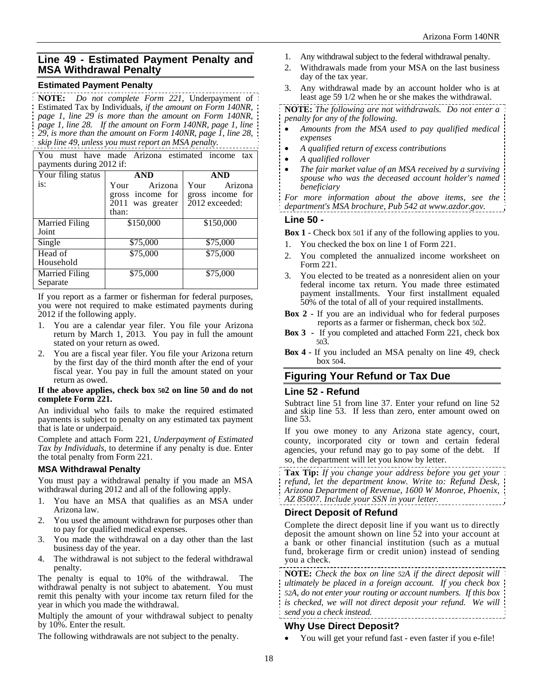# **Line 49 - Estimated Payment Penalty and MSA Withdrawal Penalty**

#### **Estimated Payment Penalty**

**NOTE:** *Do not complete Form 221,* Underpayment of Estimated Tax by Individuals*, if the amount on Form 140NR, page 1, line 29 is more than the amount on Form 140NR, page 1, line 28. If the amount on Form 140NR, page 1, line 29, is more than the amount on Form 140NR, page 1, line 28, skip line 49, unless you must report an MSA penalty.*

You must have made Arizona estimated income tax payments during 2012 if:

| Your filing status                | <b>AND</b>                                                       | <b>AND</b>                                            |
|-----------------------------------|------------------------------------------------------------------|-------------------------------------------------------|
| is:                               | Arizona<br>Your<br>gross income for<br>2011 was greater<br>than: | Arizona<br>Your<br>gross income for<br>2012 exceeded: |
| Married Filing<br>Joint           | \$150,000                                                        | \$150,000                                             |
| Single                            | \$75,000                                                         | \$75,000                                              |
| Head of<br>Household              | \$75,000                                                         | \$75,000                                              |
| <b>Married Filing</b><br>Separate | \$75,000                                                         | \$75,000                                              |

If you report as a farmer or fisherman for federal purposes, you were not required to make estimated payments during 2012 if the following apply.

- 1. You are a calendar year filer. You file your Arizona return by March 1, 2013. You pay in full the amount stated on your return as owed.
- 2. You are a fiscal year filer. You file your Arizona return by the first day of the third month after the end of your fiscal year. You pay in full the amount stated on your return as owed.

#### **If the above applies, check box 502 on line 50 and do not complete Form 221.**

An individual who fails to make the required estimated payments is subject to penalty on any estimated tax payment that is late or underpaid.

Complete and attach Form 221, *Underpayment of Estimated Tax by Individuals*, to determine if any penalty is due. Enter the total penalty from Form 221.

## **MSA Withdrawal Penalty**

You must pay a withdrawal penalty if you made an MSA withdrawal during 2012 and all of the following apply.

- 1. You have an MSA that qualifies as an MSA under Arizona law.
- 2. You used the amount withdrawn for purposes other than to pay for qualified medical expenses.
- 3. You made the withdrawal on a day other than the last business day of the year.
- 4. The withdrawal is not subject to the federal withdrawal penalty.

The penalty is equal to 10% of the withdrawal. The withdrawal penalty is not subject to abatement. You must remit this penalty with your income tax return filed for the year in which you made the withdrawal.

Multiply the amount of your withdrawal subject to penalty by 10%. Enter the result.

The following withdrawals are not subject to the penalty.

- 1. Any withdrawal subject to the federal withdrawal penalty.
- 2. Withdrawals made from your MSA on the last business day of the tax year.
- 3. Any withdrawal made by an account holder who is at least age 59 1/2 when he or she makes the withdrawal.

**NOTE:** *The following are not withdrawals. Do not enter a penalty for any of the following.* 

- *Amounts from the MSA used to pay qualified medical expenses*
- *A qualified return of excess contributions*
- *A qualified rollover*
- *The fair market value of an MSA received by a surviving spouse who was the deceased account holder's named beneficiary*

*For more information about the above items, see the department's MSA brochure, Pub 542 at www.azdor.gov.* 

#### **Line 50 -**

**Box 1** - Check box 501 if any of the following applies to you.

- 1. You checked the box on line 1 of Form 221.
- 2. You completed the annualized income worksheet on Form 221.
- 3. You elected to be treated as a nonresident alien on your federal income tax return. You made three estimated payment installments. Your first installment equaled 50% of the total of all of your required installments.
- **Box 2 -** If you are an individual who for federal purposes reports as a farmer or fisherman, check box 502.
- **Box 3** If you completed and attached Form 221, check box 503.
- **Box 4 -** If you included an MSA penalty on line 49, check box 504.

# **Figuring Your Refund or Tax Due**

## **Line 52 - Refund**

Subtract line 51 from line 37. Enter your refund on line 52 and skip line 53. If less than zero, enter amount owed on line 53.

If you owe money to any Arizona state agency, court, county, incorporated city or town and certain federal agencies, your refund may go to pay some of the debt. If so, the department will let you know by letter.

**Tax Tip:** *If you change your address before you get your refund, let the department know. Write to: Refund Desk, Arizona Department of Revenue, 1600 W Monroe, Phoenix, AZ 85007. Include your SSN in your letter.* 

# **Direct Deposit of Refund**

Complete the direct deposit line if you want us to directly deposit the amount shown on line 52 into your account at a bank or other financial institution (such as a mutual fund, brokerage firm or credit union) instead of sending you a check.

**NOTE:** *Check the box on line 52A if the direct deposit will ultimately be placed in a foreign account. If you check box 52A, do not enter your routing or account numbers. If this box is checked, we will not direct deposit your refund. We will send you a check instead.* 

# **Why Use Direct Deposit?**

You will get your refund fast - even faster if you e-file!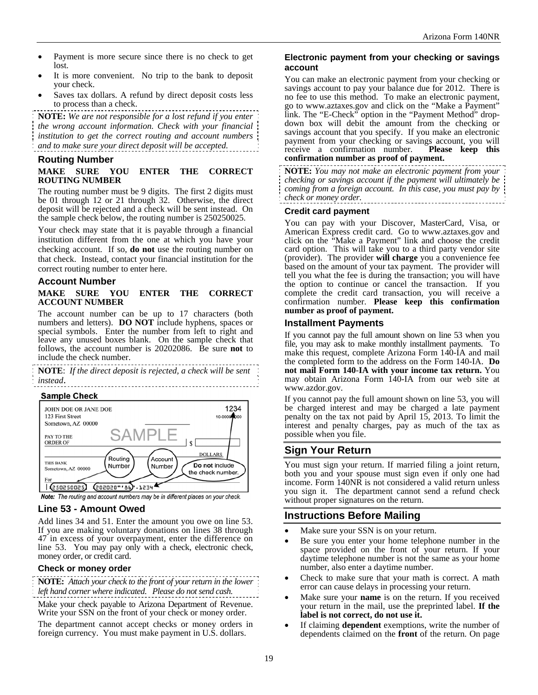- Payment is more secure since there is no check to get lost.
- It is more convenient. No trip to the bank to deposit your check.
- Saves tax dollars. A refund by direct deposit costs less to process than a check.

**NOTE:** *We are not responsible for a lost refund if you enter the wrong account information. Check with your financial institution to get the correct routing and account numbers and to make sure your direct deposit will be accepted.*

#### **Routing Number**

#### **MAKE SURE YOU ENTER THE CORRECT ROUTING NUMBER**

The routing number must be 9 digits. The first 2 digits must be 01 through 12 or 21 through 32. Otherwise, the direct deposit will be rejected and a check will be sent instead. On the sample check below, the routing number is 250250025.

Your check may state that it is payable through a financial institution different from the one at which you have your checking account. If so, **do not** use the routing number on that check. Instead, contact your financial institution for the correct routing number to enter here.

#### **Account Number**

#### **MAKE SURE YOU ENTER THE CORRECT ACCOUNT NUMBER**

The account number can be up to 17 characters (both numbers and letters). **DO NOT** include hyphens, spaces or special symbols. Enter the number from left to right and leave any unused boxes blank. On the sample check that follows, the account number is 20202086. Be sure **not** to include the check number.

**NOTE**: *If the direct deposit is rejected, a check will be sent instead*.

#### **Sample Check**



Note: The routing and account numbers may be in different places on your check.

# **Line 53 - Amount Owed**

Add lines 34 and 51. Enter the amount you owe on line 53. If you are making voluntary donations on lines 38 through 47 in excess of your overpayment, enter the difference on line 53.You may pay only with a check, electronic check, money order, or credit card.

#### **Check or money order**

**NOTE:** *Attach your check to the front of your return in the lower left hand corner where indicated*. *Please do not send cash.*

Make your check payable to Arizona Department of Revenue. Write your SSN on the front of your check or money order.

The department cannot accept checks or money orders in foreign currency. You must make payment in U.S. dollars.

#### **Electronic payment from your checking or savings account**

You can make an electronic payment from your checking or savings account to pay your balance due for 2012. There is no fee to use this method. To make an electronic payment, go to www.aztaxes.gov and click on the "Make a Payment" link. The "E-Check" option in the "Payment Method" dropdown box will debit the amount from the checking or savings account that you specify. If you make an electronic payment from your checking or savings account, you will receive a confirmation number. **Please keep this confirmation number as proof of payment.** 

**NOTE:** *You may not make an electronic payment from your checking or savings account if the payment will ultimately be coming from a foreign account. In this case, you must pay by check or money order.* 

#### **Credit card payment**

You can pay with your Discover, MasterCard, Visa, or American Express credit card. Go to www.aztaxes.gov and click on the "Make a Payment" link and choose the credit card option. This will take you to a third party vendor site (provider). The provider **will charge** you a convenience fee based on the amount of your tax payment. The provider will tell you what the fee is during the transaction; you will have the option to continue or cancel the transaction. If you complete the credit card transaction, you will receive a confirmation number. **Please keep this confirmation number as proof of payment.**

#### **Installment Payments**

If you cannot pay the full amount shown on line 53 when you file, you may ask to make monthly installment payments. To make this request, complete Arizona Form 140-IA and mail the completed form to the address on the Form 140-IA. **Do not mail Form 140**-**IA with your income tax return.** You may obtain Arizona Form 140-IA from our web site at www.azdor.gov.

If you cannot pay the full amount shown on line 53, you will be charged interest and may be charged a late payment penalty on the tax not paid by April 15, 2013. To limit the interest and penalty charges, pay as much of the tax as possible when you file.

# **Sign Your Return**

You must sign your return. If married filing a joint return, both you and your spouse must sign even if only one had income. Form 140NR is not considered a valid return unless you sign it. The department cannot send a refund check without proper signatures on the return.

# **Instructions Before Mailing**

- Make sure your SSN is on your return.
- Be sure you enter your home telephone number in the space provided on the front of your return. If your daytime telephone number is not the same as your home number, also enter a daytime number.
- Check to make sure that your math is correct. A math error can cause delays in processing your return.
- Make sure your **name** is on the return. If you received your return in the mail, use the preprinted label. **If the label is not correct, do not use it.**
- If claiming **dependent** exemptions, write the number of dependents claimed on the **front** of the return. On page